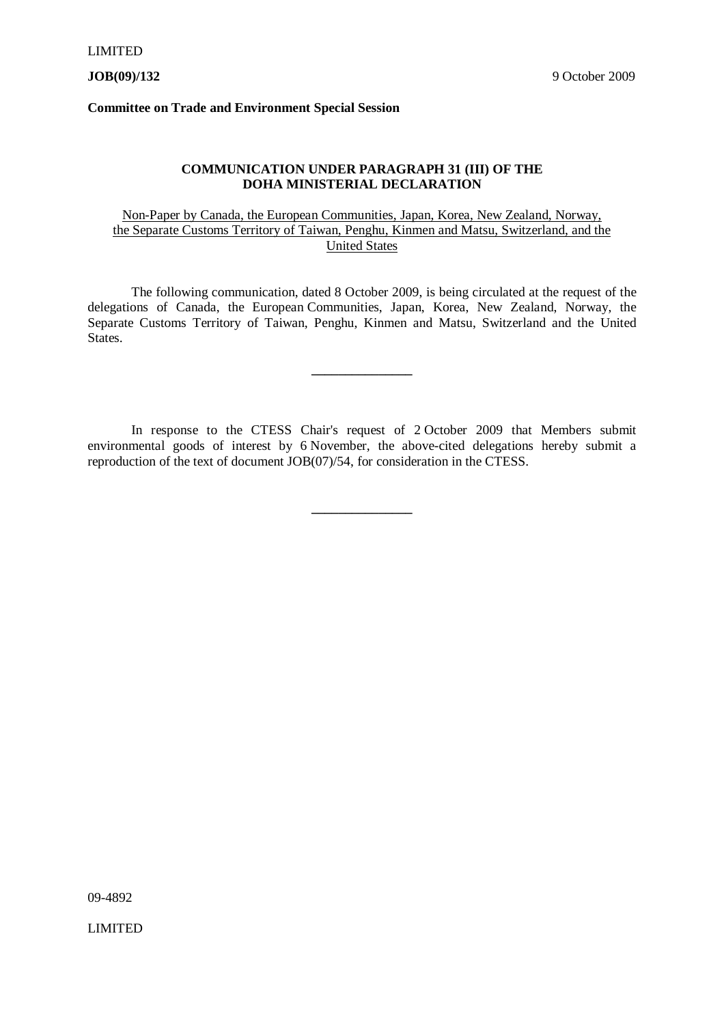**Committee on Trade and Environment Special Session**

#### **COMMUNICATION UNDER PARAGRAPH 31 (III) OF THE DOHA MINISTERIAL DECLARATION**

#### Non-Paper by Canada, the European Communities, Japan, Korea, New Zealand, Norway, the Separate Customs Territory of Taiwan, Penghu, Kinmen and Matsu, Switzerland, and the United States

The following communication, dated 8 October 2009, is being circulated at the request of the delegations of Canada, the European Communities, Japan, Korea, New Zealand, Norway, the Separate Customs Territory of Taiwan, Penghu, Kinmen and Matsu, Switzerland and the United States.

**\_\_\_\_\_\_\_\_\_\_\_\_\_\_\_**

In response to the CTESS Chair's request of 2 October 2009 that Members submit environmental goods of interest by 6 November, the above-cited delegations hereby submit a reproduction of the text of document JOB(07)/54, for consideration in the CTESS.

**\_\_\_\_\_\_\_\_\_\_\_\_\_\_\_**

09-4892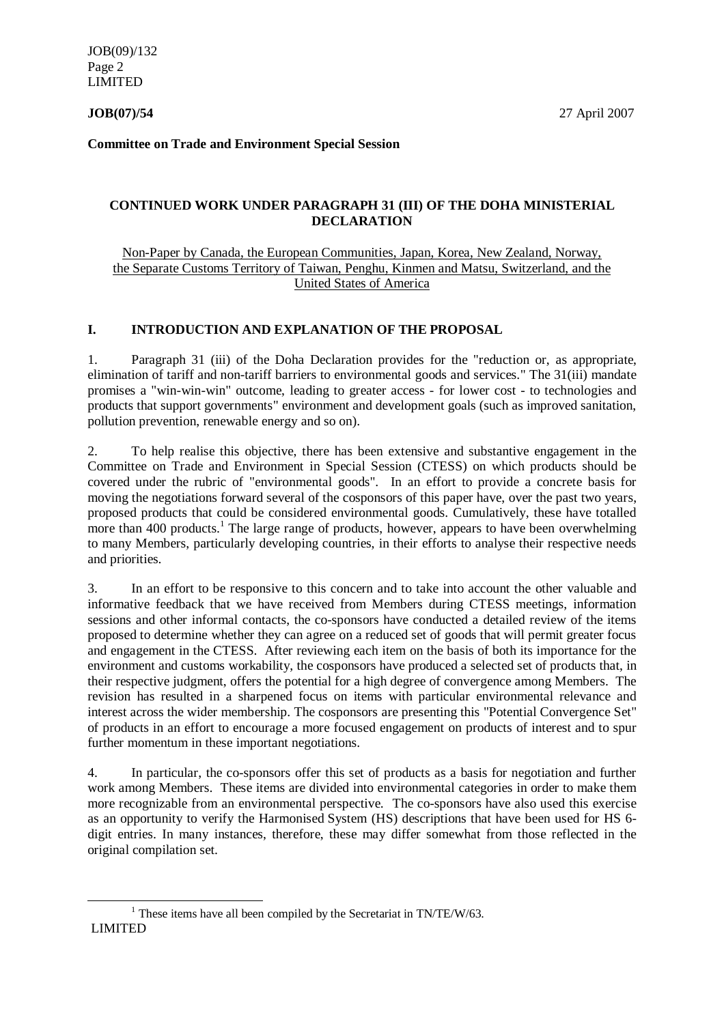JOB(09)/132 Page 2 LIMITED

**Committee on Trade and Environment Special Session**

#### **CONTINUED WORK UNDER PARAGRAPH 31 (III) OF THE DOHA MINISTERIAL DECLARATION**

#### Non-Paper by Canada, the European Communities, Japan, Korea, New Zealand, Norway, the Separate Customs Territory of Taiwan, Penghu, Kinmen and Matsu, Switzerland, and the United States of America

#### **I. INTRODUCTION AND EXPLANATION OF THE PROPOSAL**

1. Paragraph 31 (iii) of the Doha Declaration provides for the "reduction or, as appropriate, elimination of tariff and non-tariff barriers to environmental goods and services." The 31(iii) mandate promises a "win-win-win" outcome, leading to greater access - for lower cost - to technologies and products that support governments" environment and development goals (such as improved sanitation, pollution prevention, renewable energy and so on).

2. To help realise this objective, there has been extensive and substantive engagement in the Committee on Trade and Environment in Special Session (CTESS) on which products should be covered under the rubric of "environmental goods". In an effort to provide a concrete basis for moving the negotiations forward several of the cosponsors of this paper have, over the past two years, proposed products that could be considered environmental goods. Cumulatively, these have totalled more than 400 products.<sup>1</sup> The large range of products, however, appears to have been overwhelming to many Members, particularly developing countries, in their efforts to analyse their respective needs and priorities.

3. In an effort to be responsive to this concern and to take into account the other valuable and informative feedback that we have received from Members during CTESS meetings, information sessions and other informal contacts, the co-sponsors have conducted a detailed review of the items proposed to determine whether they can agree on a reduced set of goods that will permit greater focus and engagement in the CTESS. After reviewing each item on the basis of both its importance for the environment and customs workability, the cosponsors have produced a selected set of products that, in their respective judgment, offers the potential for a high degree of convergence among Members. The revision has resulted in a sharpened focus on items with particular environmental relevance and interest across the wider membership. The cosponsors are presenting this "Potential Convergence Set" of products in an effort to encourage a more focused engagement on products of interest and to spur further momentum in these important negotiations.

4. In particular, the co-sponsors offer this set of products as a basis for negotiation and further work among Members. These items are divided into environmental categories in order to make them more recognizable from an environmental perspective. The co-sponsors have also used this exercise as an opportunity to verify the Harmonised System (HS) descriptions that have been used for HS 6 digit entries. In many instances, therefore, these may differ somewhat from those reflected in the original compilation set.

LIMITED  $\ddot{\phantom{a}}$  $1$  These items have all been compiled by the Secretariat in TN/TE/W/63.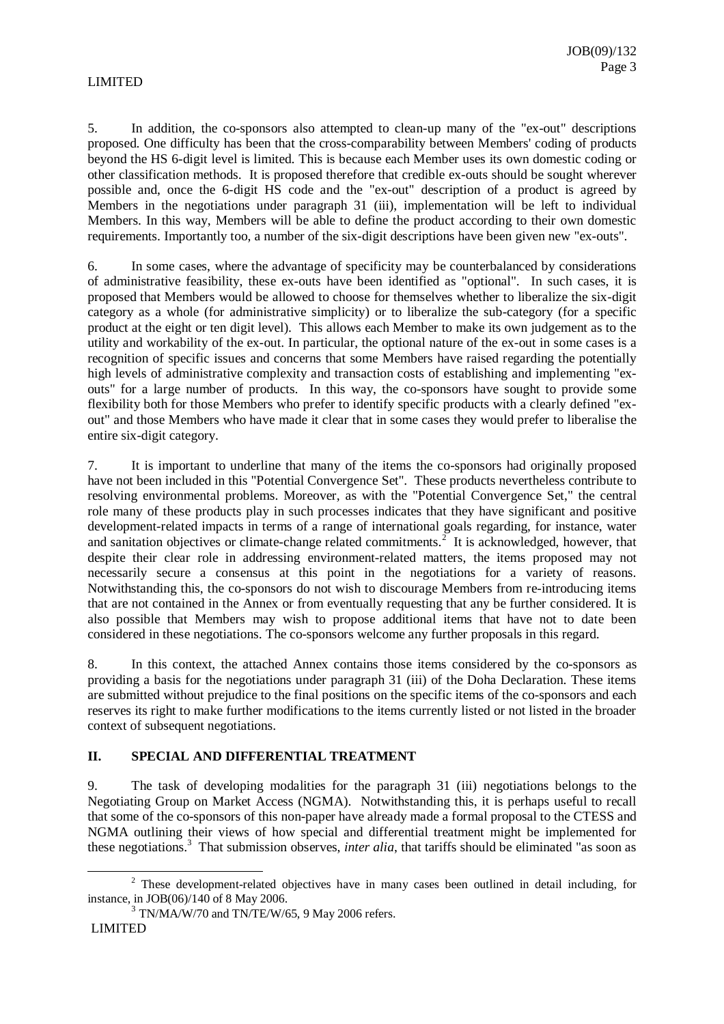5. In addition, the co-sponsors also attempted to clean-up many of the "ex-out" descriptions proposed. One difficulty has been that the cross-comparability between Members' coding of products beyond the HS 6-digit level is limited. This is because each Member uses its own domestic coding or other classification methods. It is proposed therefore that credible ex-outs should be sought wherever possible and, once the 6-digit HS code and the "ex-out" description of a product is agreed by Members in the negotiations under paragraph 31 (iii), implementation will be left to individual Members. In this way, Members will be able to define the product according to their own domestic requirements. Importantly too, a number of the six-digit descriptions have been given new "ex-outs".

6. In some cases, where the advantage of specificity may be counterbalanced by considerations of administrative feasibility, these ex-outs have been identified as "optional". In such cases, it is proposed that Members would be allowed to choose for themselves whether to liberalize the six-digit category as a whole (for administrative simplicity) or to liberalize the sub-category (for a specific product at the eight or ten digit level). This allows each Member to make its own judgement as to the utility and workability of the ex-out. In particular, the optional nature of the ex-out in some cases is a recognition of specific issues and concerns that some Members have raised regarding the potentially high levels of administrative complexity and transaction costs of establishing and implementing "exouts" for a large number of products. In this way, the co-sponsors have sought to provide some flexibility both for those Members who prefer to identify specific products with a clearly defined "exout" and those Members who have made it clear that in some cases they would prefer to liberalise the entire six-digit category.

7. It is important to underline that many of the items the co-sponsors had originally proposed have not been included in this "Potential Convergence Set". These products nevertheless contribute to resolving environmental problems. Moreover, as with the "Potential Convergence Set," the central role many of these products play in such processes indicates that they have significant and positive development-related impacts in terms of a range of international goals regarding, for instance, water and sanitation objectives or climate-change related commitments.<sup>2</sup> It is acknowledged, however, that despite their clear role in addressing environment-related matters, the items proposed may not necessarily secure a consensus at this point in the negotiations for a variety of reasons. Notwithstanding this, the co-sponsors do not wish to discourage Members from re-introducing items that are not contained in the Annex or from eventually requesting that any be further considered. It is also possible that Members may wish to propose additional items that have not to date been considered in these negotiations. The co-sponsors welcome any further proposals in this regard.

8. In this context, the attached Annex contains those items considered by the co-sponsors as providing a basis for the negotiations under paragraph 31 (iii) of the Doha Declaration. These items are submitted without prejudice to the final positions on the specific items of the co-sponsors and each reserves its right to make further modifications to the items currently listed or not listed in the broader context of subsequent negotiations.

#### **II. SPECIAL AND DIFFERENTIAL TREATMENT**

9. The task of developing modalities for the paragraph 31 (iii) negotiations belongs to the Negotiating Group on Market Access (NGMA). Notwithstanding this, it is perhaps useful to recall that some of the co-sponsors of this non-paper have already made a formal proposal to the CTESS and NGMA outlining their views of how special and differential treatment might be implemented for these negotiations.<sup>3</sup> That submission observes, *inter alia*, that tariffs should be eliminated "as soon as

 $\overline{a}$ 

 $2$  These development-related objectives have in many cases been outlined in detail including, for instance, in JOB(06)/140 of 8 May 2006.

 $3$  TN/MA/W/70 and TN/TE/W/65, 9 May 2006 refers.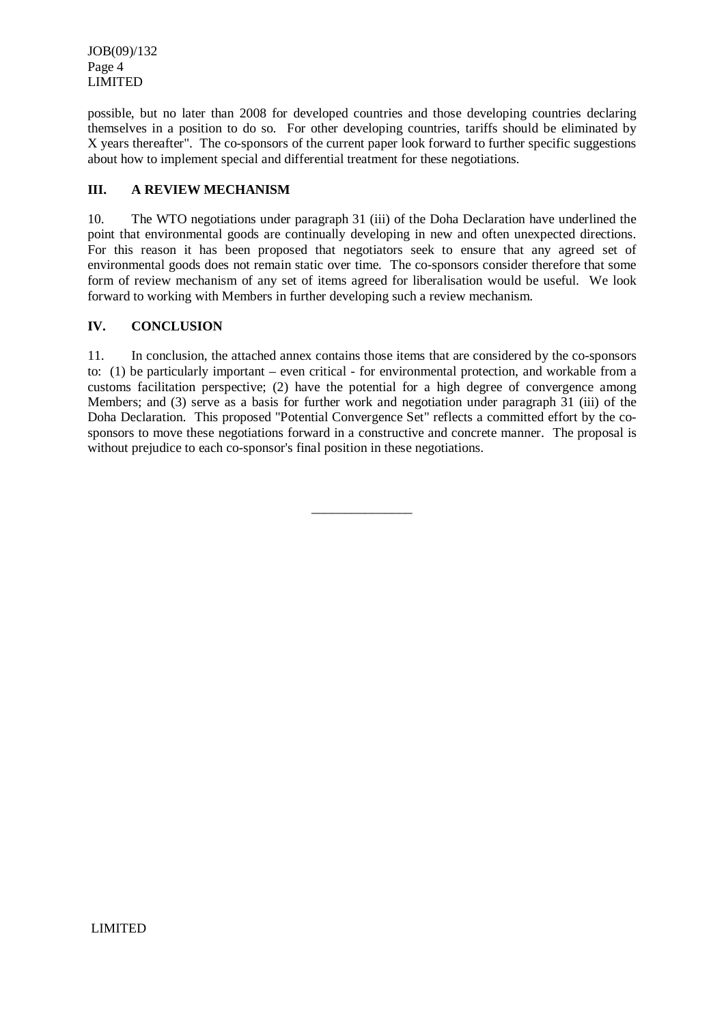JOB(09)/132 Page 4 LIMITED

possible, but no later than 2008 for developed countries and those developing countries declaring themselves in a position to do so. For other developing countries, tariffs should be eliminated by X years thereafter". The co-sponsors of the current paper look forward to further specific suggestions about how to implement special and differential treatment for these negotiations.

#### **III. A REVIEW MECHANISM**

10. The WTO negotiations under paragraph 31 (iii) of the Doha Declaration have underlined the point that environmental goods are continually developing in new and often unexpected directions. For this reason it has been proposed that negotiators seek to ensure that any agreed set of environmental goods does not remain static over time. The co-sponsors consider therefore that some form of review mechanism of any set of items agreed for liberalisation would be useful. We look forward to working with Members in further developing such a review mechanism.

#### **IV. CONCLUSION**

11. In conclusion, the attached annex contains those items that are considered by the co-sponsors to: (1) be particularly important – even critical - for environmental protection, and workable from a customs facilitation perspective; (2) have the potential for a high degree of convergence among Members; and (3) serve as a basis for further work and negotiation under paragraph 31 (iii) of the Doha Declaration. This proposed "Potential Convergence Set" reflects a committed effort by the cosponsors to move these negotiations forward in a constructive and concrete manner. The proposal is without prejudice to each co-sponsor's final position in these negotiations.

 $\overline{\phantom{a}}$  , where  $\overline{\phantom{a}}$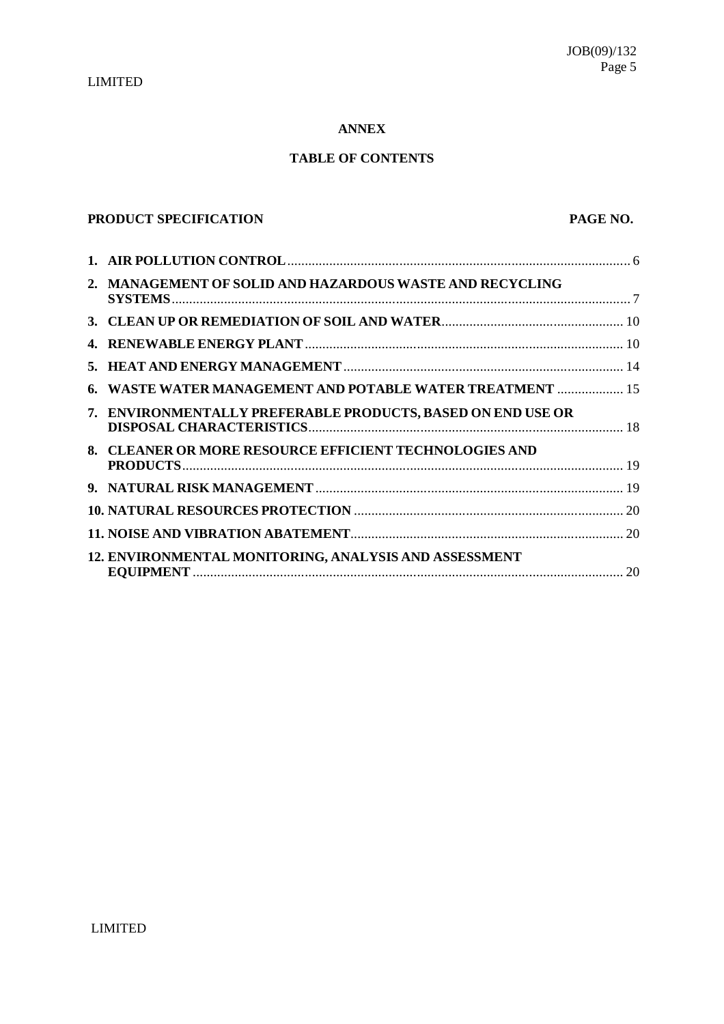#### **ANNEX**

### **TABLE OF CONTENTS**

## **PRODUCT SPECIFICATION PAGE NO.**

| 2. MANAGEMENT OF SOLID AND HAZARDOUS WASTE AND RECYCLING      |  |
|---------------------------------------------------------------|--|
|                                                               |  |
|                                                               |  |
|                                                               |  |
| <b>WASTE WATER MANAGEMENT AND POTABLE WATER TREATMENT  15</b> |  |
| 7. ENVIRONMENTALLY PREFERABLE PRODUCTS, BASED ON END USE OR   |  |
| 8. CLEANER OR MORE RESOURCE EFFICIENT TECHNOLOGIES AND        |  |
|                                                               |  |
|                                                               |  |
|                                                               |  |
| 12. ENVIRONMENTAL MONITORING, ANALYSIS AND ASSESSMENT         |  |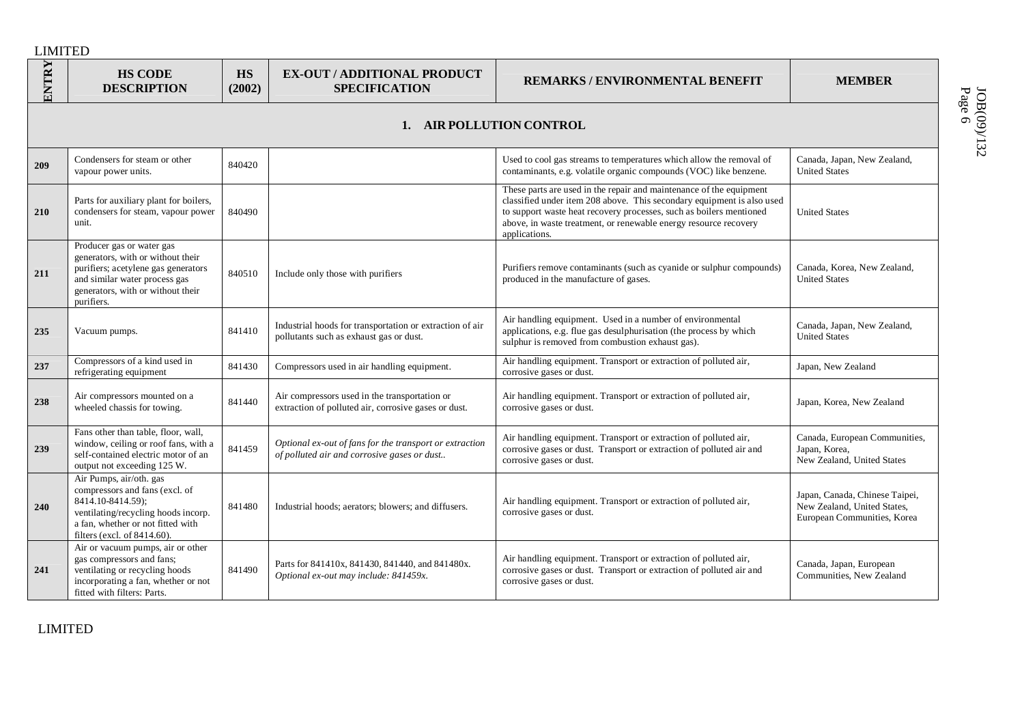| ENTRY | <b>HS CODE</b><br><b>DESCRIPTION</b>                                                                                                                                                      | HS<br>(2002) | <b>EX-OUT / ADDITIONAL PRODUCT</b><br><b>SPECIFICATION</b>                                             | REMARKS / ENVIRONMENTAL BENEFIT                                                                                                                                                                                                                                                                           | <b>MEMBER</b>                                                                                |
|-------|-------------------------------------------------------------------------------------------------------------------------------------------------------------------------------------------|--------------|--------------------------------------------------------------------------------------------------------|-----------------------------------------------------------------------------------------------------------------------------------------------------------------------------------------------------------------------------------------------------------------------------------------------------------|----------------------------------------------------------------------------------------------|
|       |                                                                                                                                                                                           |              |                                                                                                        | AIR POLLUTION CONTROL                                                                                                                                                                                                                                                                                     |                                                                                              |
| 209   | Condensers for steam or other<br>vapour power units.                                                                                                                                      | 840420       |                                                                                                        | Used to cool gas streams to temperatures which allow the removal of<br>contaminants, e.g. volatile organic compounds (VOC) like benzene.                                                                                                                                                                  | Canada, Japan, New Zealand,<br><b>United States</b>                                          |
| 210   | Parts for auxiliary plant for boilers,<br>condensers for steam, vapour power<br>unit.                                                                                                     | 840490       |                                                                                                        | These parts are used in the repair and maintenance of the equipment<br>classified under item 208 above. This secondary equipment is also used<br>to support waste heat recovery processes, such as boilers mentioned<br>above, in waste treatment, or renewable energy resource recovery<br>applications. | <b>United States</b>                                                                         |
| 211   | Producer gas or water gas<br>generators, with or without their<br>purifiers; acetylene gas generators<br>and similar water process gas<br>generators, with or without their<br>purifiers. | 840510       | Include only those with purifiers                                                                      | Purifiers remove contaminants (such as cyanide or sulphur compounds)<br>produced in the manufacture of gases.                                                                                                                                                                                             | Canada, Korea, New Zealand,<br><b>United States</b>                                          |
| 235   | Vacuum pumps.                                                                                                                                                                             | 841410       | Industrial hoods for transportation or extraction of air<br>pollutants such as exhaust gas or dust.    | Air handling equipment. Used in a number of environmental<br>applications, e.g. flue gas desulphurisation (the process by which<br>sulphur is removed from combustion exhaust gas).                                                                                                                       | Canada, Japan, New Zealand,<br><b>United States</b>                                          |
| 237   | Compressors of a kind used in<br>refrigerating equipment                                                                                                                                  | 841430       | Compressors used in air handling equipment.                                                            | Air handling equipment. Transport or extraction of polluted air,<br>corrosive gases or dust.                                                                                                                                                                                                              | Japan, New Zealand                                                                           |
| 238   | Air compressors mounted on a<br>wheeled chassis for towing.                                                                                                                               | 841440       | Air compressors used in the transportation or<br>extraction of polluted air, corrosive gases or dust.  | Air handling equipment. Transport or extraction of polluted air,<br>corrosive gases or dust.                                                                                                                                                                                                              | Japan, Korea, New Zealand                                                                    |
| 239   | Fans other than table, floor, wall,<br>window, ceiling or roof fans, with a<br>self-contained electric motor of an<br>output not exceeding 125 W.                                         | 841459       | Optional ex-out of fans for the transport or extraction<br>of polluted air and corrosive gases or dust | Air handling equipment. Transport or extraction of polluted air,<br>corrosive gases or dust. Transport or extraction of polluted air and<br>corrosive gases or dust.                                                                                                                                      | Canada, European Communities,<br>Japan, Korea,<br>New Zealand, United States                 |
| 240   | Air Pumps, air/oth. gas<br>compressors and fans (excl. of<br>8414.10-8414.59);<br>ventilating/recycling hoods incorp.<br>a fan, whether or not fitted with<br>filters (excl. of 8414.60). | 841480       | Industrial hoods; aerators; blowers; and diffusers.                                                    | Air handling equipment. Transport or extraction of polluted air,<br>corrosive gases or dust.                                                                                                                                                                                                              | Japan, Canada, Chinese Taipei,<br>New Zealand, United States,<br>European Communities, Korea |
| 241   | Air or vacuum pumps, air or other<br>gas compressors and fans;<br>ventilating or recycling hoods<br>incorporating a fan, whether or not<br>fitted with filters: Parts.                    | 841490       | Parts for 841410x, 841430, 841440, and 841480x.<br>Optional ex-out may include: 841459x.               | Air handling equipment. Transport or extraction of polluted air,<br>corrosive gases or dust. Transport or extraction of polluted air and<br>corrosive gases or dust.                                                                                                                                      | Canada, Japan, European<br>Communities, New Zealand                                          |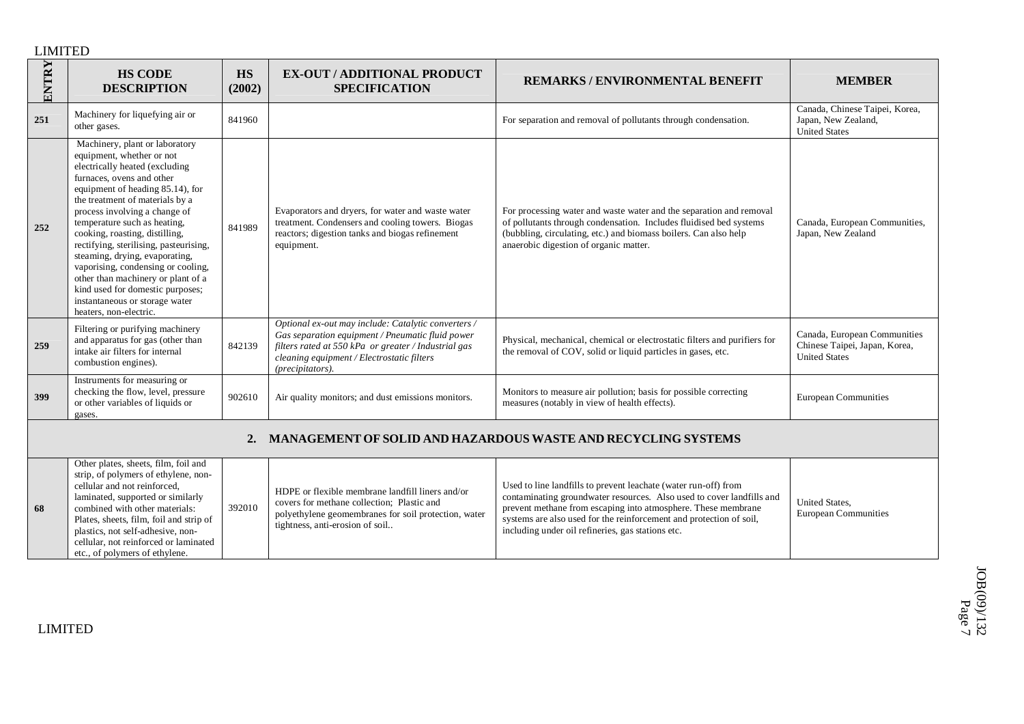LIMITED

combined with other materials: Plates, sheets, film, foil and strip of plastics, not self-adhesive, noncellular, not reinforced or laminated etc., of polymers of ethylene.

**68**

| ENTRY | <b>HS CODE</b><br><b>DESCRIPTION</b>                                                                                                                                                                                                                                                                                                                                                                                                                                                                                                                         | <b>HS</b><br>(2002) | <b>EX-OUT / ADDITIONAL PRODUCT</b><br><b>SPECIFICATION</b>                                                                                                                                                                        | <b>REMARKS/ENVIRONMENTAL BENEFIT</b>                                                                                                                                                                                                                    | <b>MEMBER</b>                                                                         |  |  |
|-------|--------------------------------------------------------------------------------------------------------------------------------------------------------------------------------------------------------------------------------------------------------------------------------------------------------------------------------------------------------------------------------------------------------------------------------------------------------------------------------------------------------------------------------------------------------------|---------------------|-----------------------------------------------------------------------------------------------------------------------------------------------------------------------------------------------------------------------------------|---------------------------------------------------------------------------------------------------------------------------------------------------------------------------------------------------------------------------------------------------------|---------------------------------------------------------------------------------------|--|--|
| 251   | Machinery for liquefying air or<br>other gases.                                                                                                                                                                                                                                                                                                                                                                                                                                                                                                              | 841960              |                                                                                                                                                                                                                                   | For separation and removal of pollutants through condensation.                                                                                                                                                                                          | Canada, Chinese Taipei, Korea,<br>Japan, New Zealand,<br><b>United States</b>         |  |  |
| 252   | Machinery, plant or laboratory<br>equipment, whether or not<br>electrically heated (excluding<br>furnaces, ovens and other<br>equipment of heading 85.14), for<br>the treatment of materials by a<br>process involving a change of<br>temperature such as heating,<br>cooking, roasting, distilling,<br>rectifying, sterilising, pasteurising,<br>steaming, drying, evaporating,<br>vaporising, condensing or cooling,<br>other than machinery or plant of a<br>kind used for domestic purposes;<br>instantaneous or storage water<br>heaters, non-electric. | 841989              | Evaporators and dryers, for water and waste water<br>treatment. Condensers and cooling towers. Biogas<br>reactors; digestion tanks and biogas refinement<br>equipment.                                                            | For processing water and waste water and the separation and removal<br>of pollutants through condensation. Includes fluidised bed systems<br>(bubbling, circulating, etc.) and biomass boilers. Can also help<br>anaerobic digestion of organic matter. | Canada, European Communities,<br>Japan, New Zealand                                   |  |  |
| 259   | Filtering or purifying machinery<br>and apparatus for gas (other than<br>intake air filters for internal<br>combustion engines).                                                                                                                                                                                                                                                                                                                                                                                                                             | 842139              | Optional ex-out may include: Catalytic converters /<br>Gas separation equipment / Pneumatic fluid power<br>filters rated at 550 kPa or greater / Industrial gas<br>cleaning equipment / Electrostatic filters<br>(precipitators). | Physical, mechanical, chemical or electrostatic filters and purifiers for<br>the removal of COV, solid or liquid particles in gases, etc.                                                                                                               | Canada, European Communities<br>Chinese Taipei, Japan, Korea,<br><b>United States</b> |  |  |
| 399   | Instruments for measuring or<br>checking the flow, level, pressure<br>or other variables of liquids or<br>gases.                                                                                                                                                                                                                                                                                                                                                                                                                                             | 902610              | Air quality monitors; and dust emissions monitors.                                                                                                                                                                                | Monitors to measure air pollution; basis for possible correcting<br>measures (notably in view of health effects).                                                                                                                                       | <b>European Communities</b>                                                           |  |  |
|       | MANAGEMENT OF SOLID AND HAZARDOUS WASTE AND RECYCLING SYSTEMS<br>2.                                                                                                                                                                                                                                                                                                                                                                                                                                                                                          |                     |                                                                                                                                                                                                                                   |                                                                                                                                                                                                                                                         |                                                                                       |  |  |
|       | Other plates, sheets, film, foil and<br>strip, of polymers of ethylene, non-<br>cellular and not reinforced.<br>laminated, supported or similarly<br>and the state and a state of the state of                                                                                                                                                                                                                                                                                                                                                               | $202010$            | HDPE or flexible membrane landfill liners and/or<br>covers for methane collection; Plastic and                                                                                                                                    | Used to line landfills to prevent leachate (water run-off) from<br>contaminating groundwater resources. Also used to cover landfills and<br>and models are formed and alternative today of models are the constructions of                              | <b>United States.</b>                                                                 |  |  |

prevent methane from escaping into atmosphere. These membrane systems are also used for the reinforcement and protection of soil,

including under oil refineries, gas stations etc.

tightness, anti-erosion of soil..

polyethylene geomembranes for soil protection, water

392010

European Communities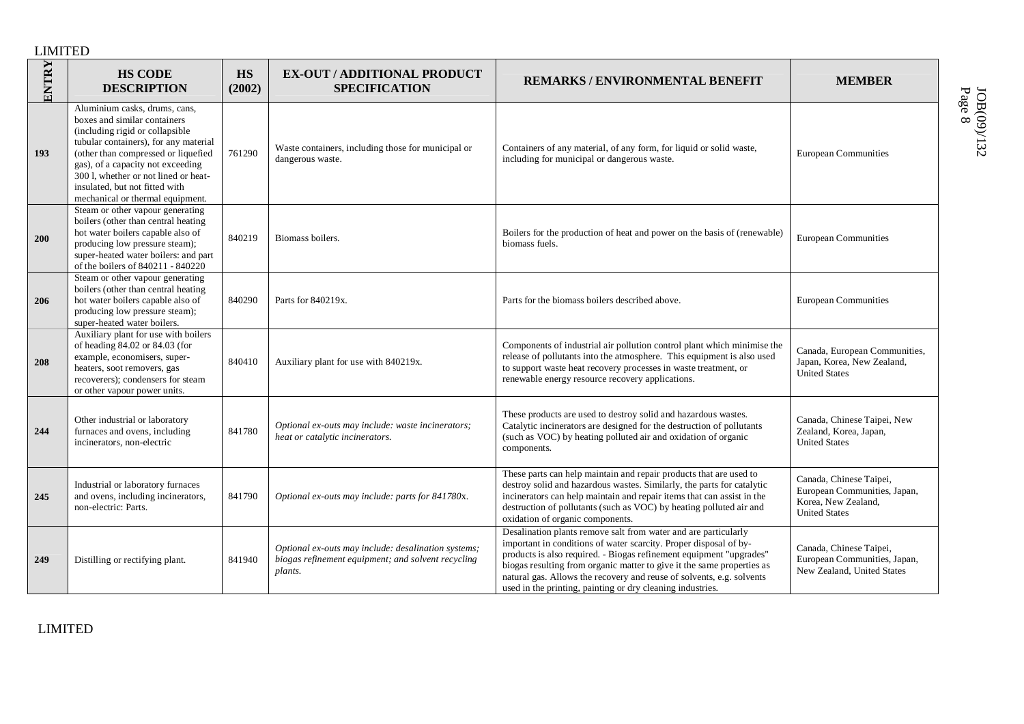| ENTRY | <b>HS CODE</b><br><b>DESCRIPTION</b>                                                                                                                                                                                                                                                                                                | <b>HS</b><br>(2002) | <b>EX-OUT / ADDITIONAL PRODUCT</b><br><b>SPECIFICATION</b>                                                           | <b>REMARKS/ENVIRONMENTAL BENEFIT</b>                                                                                                                                                                                                                                                                                                                                                                                         | <b>MEMBER</b>                                                                                          |
|-------|-------------------------------------------------------------------------------------------------------------------------------------------------------------------------------------------------------------------------------------------------------------------------------------------------------------------------------------|---------------------|----------------------------------------------------------------------------------------------------------------------|------------------------------------------------------------------------------------------------------------------------------------------------------------------------------------------------------------------------------------------------------------------------------------------------------------------------------------------------------------------------------------------------------------------------------|--------------------------------------------------------------------------------------------------------|
| 193   | Aluminium casks, drums, cans,<br>boxes and similar containers<br>(including rigid or collapsible<br>tubular containers), for any material<br>(other than compressed or liquefied<br>gas), of a capacity not exceeding<br>300 l, whether or not lined or heat-<br>insulated, but not fitted with<br>mechanical or thermal equipment. | 761290              | Waste containers, including those for municipal or<br>dangerous waste.                                               | Containers of any material, of any form, for liquid or solid waste,<br>including for municipal or dangerous waste.                                                                                                                                                                                                                                                                                                           | <b>European Communities</b>                                                                            |
| 200   | Steam or other vapour generating<br>boilers (other than central heating<br>hot water boilers capable also of<br>producing low pressure steam);<br>super-heated water boilers: and part<br>of the boilers of 840211 - 840220                                                                                                         | 840219              | Biomass boilers.                                                                                                     | Boilers for the production of heat and power on the basis of (renewable)<br>biomass fuels.                                                                                                                                                                                                                                                                                                                                   | <b>European Communities</b>                                                                            |
| 206   | Steam or other vapour generating<br>boilers (other than central heating<br>hot water boilers capable also of<br>producing low pressure steam);<br>super-heated water boilers.                                                                                                                                                       | 840290              | Parts for 840219x.                                                                                                   | Parts for the biomass boilers described above.                                                                                                                                                                                                                                                                                                                                                                               | <b>European Communities</b>                                                                            |
| 208   | Auxiliary plant for use with boilers<br>of heading 84.02 or 84.03 (for<br>example, economisers, super-<br>heaters, soot removers, gas<br>recoverers); condensers for steam<br>or other vapour power units.                                                                                                                          | 840410              | Auxiliary plant for use with 840219x.                                                                                | Components of industrial air pollution control plant which minimise the<br>release of pollutants into the atmosphere. This equipment is also used<br>to support waste heat recovery processes in waste treatment, or<br>renewable energy resource recovery applications.                                                                                                                                                     | Canada, European Communities,<br>Japan, Korea, New Zealand,<br><b>United States</b>                    |
| 244   | Other industrial or laboratory<br>furnaces and ovens, including<br>incinerators, non-electric                                                                                                                                                                                                                                       | 841780              | Optional ex-outs may include: waste incinerators;<br>heat or catalytic incinerators.                                 | These products are used to destroy solid and hazardous wastes.<br>Catalytic incinerators are designed for the destruction of pollutants<br>(such as VOC) by heating polluted air and oxidation of organic<br>components.                                                                                                                                                                                                     | Canada, Chinese Taipei, New<br>Zealand, Korea, Japan,<br><b>United States</b>                          |
| 245   | Industrial or laboratory furnaces<br>and ovens, including incinerators,<br>non-electric: Parts.                                                                                                                                                                                                                                     | 841790              | Optional ex-outs may include: parts for 841780x.                                                                     | These parts can help maintain and repair products that are used to<br>destroy solid and hazardous wastes. Similarly, the parts for catalytic<br>incinerators can help maintain and repair items that can assist in the<br>destruction of pollutants (such as VOC) by heating polluted air and<br>oxidation of organic components.                                                                                            | Canada, Chinese Taipei,<br>European Communities, Japan,<br>Korea, New Zealand,<br><b>United States</b> |
| 249   | Distilling or rectifying plant.                                                                                                                                                                                                                                                                                                     | 841940              | Optional ex-outs may include: desalination systems;<br>biogas refinement equipment; and solvent recycling<br>plants. | Desalination plants remove salt from water and are particularly<br>important in conditions of water scarcity. Proper disposal of by-<br>products is also required. - Biogas refinement equipment "upgrades"<br>biogas resulting from organic matter to give it the same properties as<br>natural gas. Allows the recovery and reuse of solvents, e.g. solvents<br>used in the printing, painting or dry cleaning industries. | Canada, Chinese Taipei,<br>European Communities, Japan,<br>New Zealand, United States                  |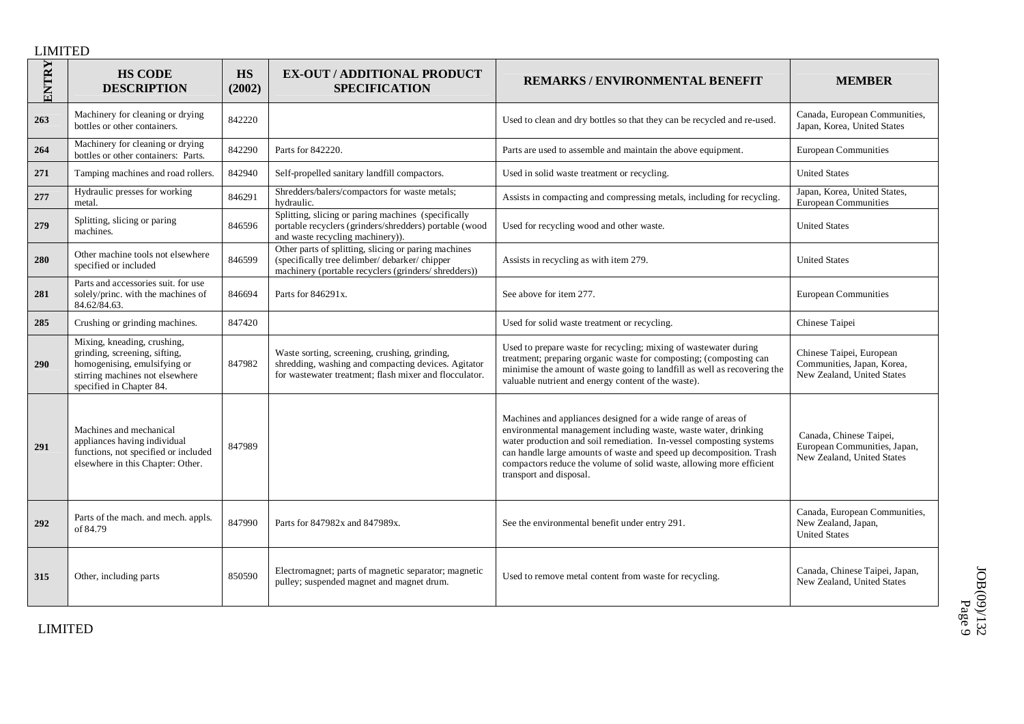| ENTRY | <b>HS CODE</b><br><b>DESCRIPTION</b>                                                                                                                        | HS<br>(2002) | <b>EX-OUT / ADDITIONAL PRODUCT</b><br><b>SPECIFICATION</b>                                                                                                     | <b>REMARKS/ENVIRONMENTAL BENEFIT</b>                                                                                                                                                                                                                                                                                                                                              | <b>MEMBER</b>                                                                         |
|-------|-------------------------------------------------------------------------------------------------------------------------------------------------------------|--------------|----------------------------------------------------------------------------------------------------------------------------------------------------------------|-----------------------------------------------------------------------------------------------------------------------------------------------------------------------------------------------------------------------------------------------------------------------------------------------------------------------------------------------------------------------------------|---------------------------------------------------------------------------------------|
| 263   | Machinery for cleaning or drying<br>bottles or other containers.                                                                                            | 842220       |                                                                                                                                                                | Used to clean and dry bottles so that they can be recycled and re-used.                                                                                                                                                                                                                                                                                                           | Canada, European Communities,<br>Japan, Korea, United States                          |
| 264   | Machinery for cleaning or drying<br>bottles or other containers: Parts.                                                                                     | 842290       | Parts for 842220.                                                                                                                                              | Parts are used to assemble and maintain the above equipment.                                                                                                                                                                                                                                                                                                                      | <b>European Communities</b>                                                           |
| 271   | Tamping machines and road rollers.                                                                                                                          | 842940       | Self-propelled sanitary landfill compactors.                                                                                                                   | Used in solid waste treatment or recycling.                                                                                                                                                                                                                                                                                                                                       | <b>United States</b>                                                                  |
| 277   | Hydraulic presses for working<br>metal.                                                                                                                     | 846291       | Shredders/balers/compactors for waste metals;<br>hydraulic.                                                                                                    | Assists in compacting and compressing metals, including for recycling.                                                                                                                                                                                                                                                                                                            | Japan, Korea, United States,<br><b>European Communities</b>                           |
| 279   | Splitting, slicing or paring<br>machines.                                                                                                                   | 846596       | Splitting, slicing or paring machines (specifically<br>portable recyclers (grinders/shredders) portable (wood<br>and waste recycling machinery).               | Used for recycling wood and other waste.                                                                                                                                                                                                                                                                                                                                          | <b>United States</b>                                                                  |
| 280   | Other machine tools not elsewhere<br>specified or included                                                                                                  | 846599       | Other parts of splitting, slicing or paring machines<br>(specifically tree delimber/ debarker/ chipper<br>machinery (portable recyclers (grinders/ shredders)) | Assists in recycling as with item 279.                                                                                                                                                                                                                                                                                                                                            | <b>United States</b>                                                                  |
| 281   | Parts and accessories suit, for use<br>solely/princ. with the machines of<br>84.62/84.63.                                                                   | 846694       | Parts for 846291x.                                                                                                                                             | See above for item 277.                                                                                                                                                                                                                                                                                                                                                           | <b>European Communities</b>                                                           |
| 285   | Crushing or grinding machines.                                                                                                                              | 847420       |                                                                                                                                                                | Used for solid waste treatment or recycling.                                                                                                                                                                                                                                                                                                                                      | Chinese Taipei                                                                        |
| 290   | Mixing, kneading, crushing,<br>grinding, screening, sifting,<br>homogenising, emulsifying or<br>stirring machines not elsewhere<br>specified in Chapter 84. | 847982       | Waste sorting, screening, crushing, grinding,<br>shredding, washing and compacting devices. Agitator<br>for wastewater treatment; flash mixer and flocculator. | Used to prepare waste for recycling; mixing of wastewater during<br>treatment; preparing organic waste for composting; (composting can<br>minimise the amount of waste going to landfill as well as recovering the<br>valuable nutrient and energy content of the waste).                                                                                                         | Chinese Taipei, European<br>Communities, Japan, Korea,<br>New Zealand, United States  |
| 291   | Machines and mechanical<br>appliances having individual<br>functions, not specified or included<br>elsewhere in this Chapter: Other.                        | 847989       |                                                                                                                                                                | Machines and appliances designed for a wide range of areas of<br>environmental management including waste, waste water, drinking<br>water production and soil remediation. In-vessel composting systems<br>can handle large amounts of waste and speed up decomposition. Trash<br>compactors reduce the volume of solid waste, allowing more efficient<br>transport and disposal. | Canada, Chinese Taipei,<br>European Communities, Japan,<br>New Zealand, United States |
| 292   | Parts of the mach. and mech. appls.<br>of 84.79                                                                                                             | 847990       | Parts for 847982x and 847989x.                                                                                                                                 | See the environmental benefit under entry 291.                                                                                                                                                                                                                                                                                                                                    | Canada, European Communities,<br>New Zealand, Japan,<br><b>United States</b>          |
| 315   | Other, including parts                                                                                                                                      | 850590       | Electromagnet; parts of magnetic separator; magnetic<br>pulley; suspended magnet and magnet drum.                                                              | Used to remove metal content from waste for recycling.                                                                                                                                                                                                                                                                                                                            | Canada, Chinese Taipei, Japan,<br>New Zealand, United States                          |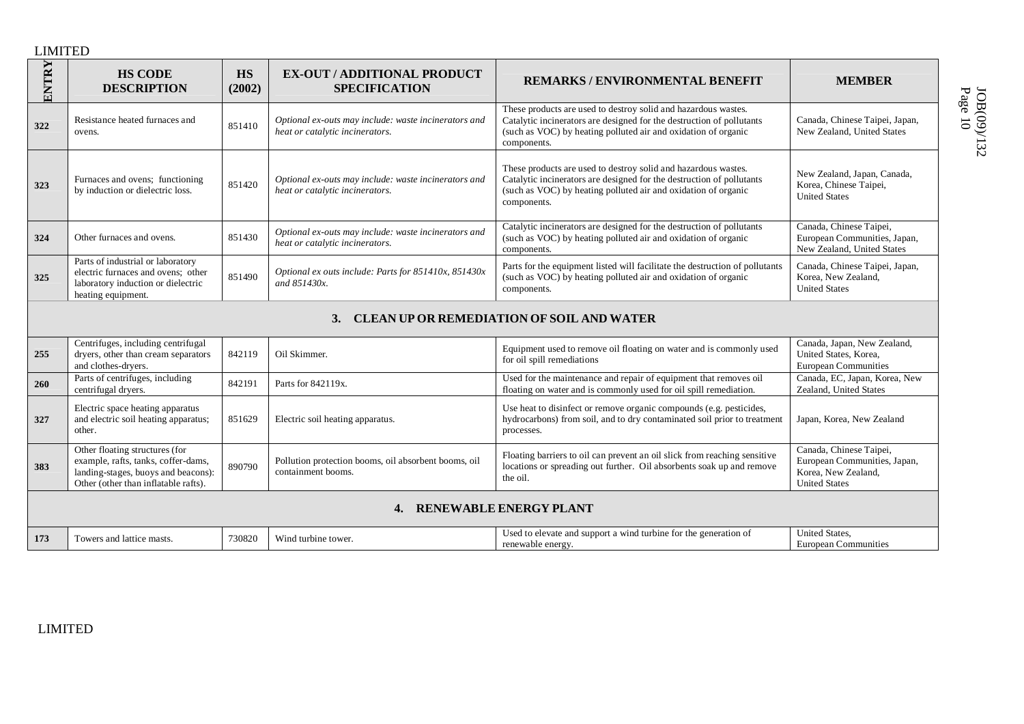| ENTRY | <b>HS CODE</b><br><b>DESCRIPTION</b>                                                                                                                 | <b>HS</b><br>(2002) | <b>EX-OUT / ADDITIONAL PRODUCT</b><br><b>SPECIFICATION</b>                              | <b>REMARKS / ENVIRONMENTAL BENEFIT</b>                                                                                                                                                                                   | <b>MEMBER</b>                                                                                          |
|-------|------------------------------------------------------------------------------------------------------------------------------------------------------|---------------------|-----------------------------------------------------------------------------------------|--------------------------------------------------------------------------------------------------------------------------------------------------------------------------------------------------------------------------|--------------------------------------------------------------------------------------------------------|
| 322   | Resistance heated furnaces and<br>ovens.                                                                                                             | 851410              | Optional ex-outs may include: waste incinerators and<br>heat or catalytic incinerators. | These products are used to destroy solid and hazardous wastes.<br>Catalytic incinerators are designed for the destruction of pollutants<br>(such as VOC) by heating polluted air and oxidation of organic<br>components. | Canada, Chinese Taipei, Japan,<br>New Zealand, United States                                           |
| 323   | Furnaces and ovens; functioning<br>by induction or dielectric loss.                                                                                  | 851420              | Optional ex-outs may include: waste incinerators and<br>heat or catalytic incinerators. | These products are used to destroy solid and hazardous wastes.<br>Catalytic incinerators are designed for the destruction of pollutants<br>(such as VOC) by heating polluted air and oxidation of organic<br>components. | New Zealand, Japan, Canada,<br>Korea, Chinese Taipei,<br><b>United States</b>                          |
| 324   | Other furnaces and ovens.                                                                                                                            | 851430              | Optional ex-outs may include: waste incinerators and<br>heat or catalytic incinerators. | Catalytic incinerators are designed for the destruction of pollutants<br>(such as VOC) by heating polluted air and oxidation of organic<br>components.                                                                   | Canada, Chinese Taipei,<br>European Communities, Japan,<br>New Zealand, United States                  |
| 325   | Parts of industrial or laboratory<br>electric furnaces and ovens: other<br>laboratory induction or dielectric<br>heating equipment.                  | 851490              | Optional ex outs include: Parts for 851410x, 851430x<br>and 851430x.                    | Parts for the equipment listed will facilitate the destruction of pollutants<br>(such as VOC) by heating polluted air and oxidation of organic<br>components.                                                            | Canada, Chinese Taipei, Japan,<br>Korea, New Zealand,<br><b>United States</b>                          |
|       |                                                                                                                                                      |                     | 3.                                                                                      | <b>CLEAN UP OR REMEDIATION OF SOIL AND WATER</b>                                                                                                                                                                         |                                                                                                        |
| 255   | Centrifuges, including centrifugal<br>dryers, other than cream separators<br>and clothes-dryers.                                                     | 842119              | Oil Skimmer.                                                                            | Equipment used to remove oil floating on water and is commonly used<br>for oil spill remediations                                                                                                                        | Canada, Japan, New Zealand,<br>United States, Korea,<br><b>European Communities</b>                    |
| 260   | Parts of centrifuges, including<br>centrifugal dryers.                                                                                               | 842191              | Parts for 842119x.                                                                      | Used for the maintenance and repair of equipment that removes oil<br>floating on water and is commonly used for oil spill remediation.                                                                                   | Canada, EC, Japan, Korea, New<br>Zealand, United States                                                |
| 327   | Electric space heating apparatus<br>and electric soil heating apparatus;<br>other.                                                                   | 851629              | Electric soil heating apparatus.                                                        | Use heat to disinfect or remove organic compounds (e.g. pesticides,<br>hydrocarbons) from soil, and to dry contaminated soil prior to treatment<br>processes.                                                            | Japan, Korea, New Zealand                                                                              |
| 383   | Other floating structures (for<br>example, rafts, tanks, coffer-dams,<br>landing-stages, buoys and beacons):<br>Other (other than inflatable rafts). | 890790              | Pollution protection booms, oil absorbent booms, oil<br>containment booms.              | Floating barriers to oil can prevent an oil slick from reaching sensitive<br>locations or spreading out further. Oil absorbents soak up and remove<br>the oil.                                                           | Canada, Chinese Taipei,<br>European Communities, Japan,<br>Korea, New Zealand,<br><b>United States</b> |
|       |                                                                                                                                                      |                     | 4. RENEWABLE ENERGY PLANT                                                               |                                                                                                                                                                                                                          |                                                                                                        |
| 173   | Towers and lattice masts.                                                                                                                            | 730820              | Wind turbine tower.                                                                     | Used to elevate and support a wind turbine for the generation of<br>renewable energy.                                                                                                                                    | United States,<br><b>European Communities</b>                                                          |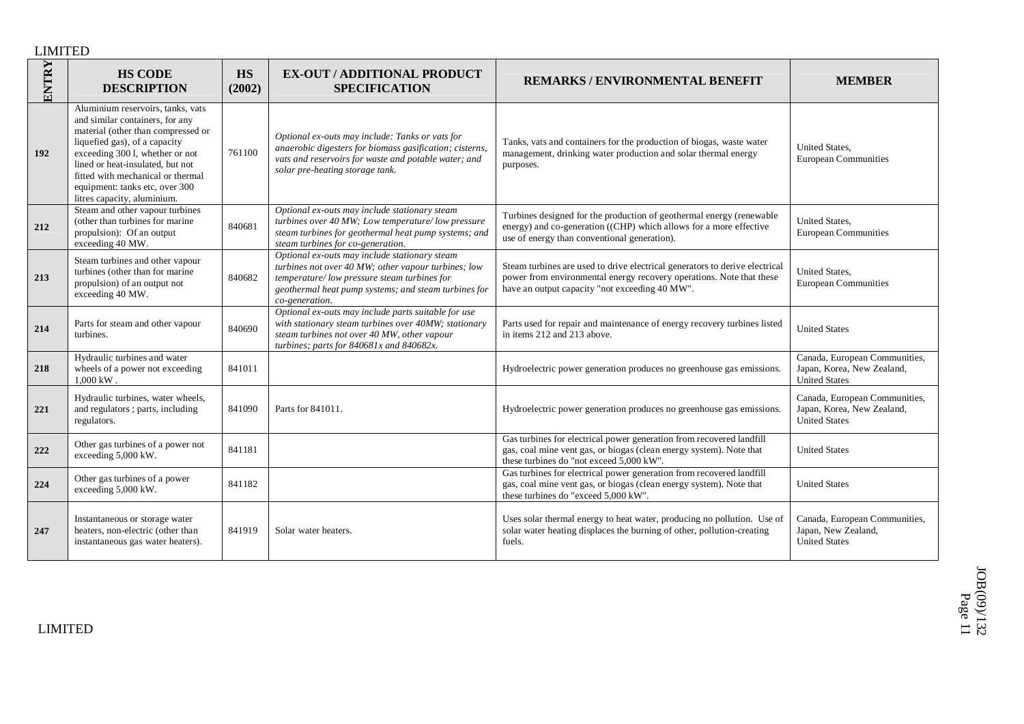| ENTRY | <b>HS CODE</b><br><b>DESCRIPTION</b>                                                                                                                                                                                                                                                                                     | <b>HS</b><br>(2002) | <b>EX-OUT / ADDITIONAL PRODUCT</b><br><b>SPECIFICATION</b>                                                                                                                                                                    | <b>REMARKS/ENVIRONMENTAL BENEFIT</b>                                                                                                                                                                  | <b>MEMBER</b>                                                                       |
|-------|--------------------------------------------------------------------------------------------------------------------------------------------------------------------------------------------------------------------------------------------------------------------------------------------------------------------------|---------------------|-------------------------------------------------------------------------------------------------------------------------------------------------------------------------------------------------------------------------------|-------------------------------------------------------------------------------------------------------------------------------------------------------------------------------------------------------|-------------------------------------------------------------------------------------|
| 192   | Aluminium reservoirs, tanks, vats<br>and similar containers, for any<br>material (other than compressed or<br>liquefied gas), of a capacity<br>exceeding 300 l, whether or not<br>lined or heat-insulated, but not<br>fitted with mechanical or thermal<br>equipment: tanks etc, over 300<br>litres capacity, aluminium. | 761100              | Optional ex-outs may include: Tanks or vats for<br>anaerobic digesters for biomass gasification; cisterns,<br>vats and reservoirs for waste and potable water; and<br>solar pre-heating storage tank.                         | Tanks, vats and containers for the production of biogas, waste water<br>management, drinking water production and solar thermal energy<br>purposes.                                                   | <b>United States.</b><br><b>European Communities</b>                                |
| 212   | Steam and other vapour turbines<br>(other than turbines for marine<br>propulsion): Of an output<br>exceeding 40 MW.                                                                                                                                                                                                      | 840681              | Optional ex-outs may include stationary steam<br>turbines over 40 MW; Low temperature/low pressure<br>steam turbines for geothermal heat pump systems; and<br>steam turbines for co-generation.                               | Turbines designed for the production of geothermal energy (renewable<br>energy) and co-generation ((CHP) which allows for a more effective<br>use of energy than conventional generation).            | <b>United States.</b><br><b>European Communities</b>                                |
| 213   | Steam turbines and other vapour<br>turbines (other than for marine<br>propulsion) of an output not<br>exceeding 40 MW.                                                                                                                                                                                                   | 840682              | Optional ex-outs may include stationary steam<br>turbines not over 40 MW; other vapour turbines; low<br>temperature/low pressure steam turbines for<br>geothermal heat pump systems; and steam turbines for<br>co-generation. | Steam turbines are used to drive electrical generators to derive electrical<br>power from environmental energy recovery operations. Note that these<br>have an output capacity "not exceeding 40 MW". | <b>United States.</b><br><b>European Communities</b>                                |
| 214   | Parts for steam and other vapour<br>turbines.                                                                                                                                                                                                                                                                            | 840690              | Optional ex-outs may include parts suitable for use<br>with stationary steam turbines over 40MW; stationary<br>steam turbines not over 40 MW, other vapour<br>turbines; parts for $840681x$ and $840682x$ .                   | Parts used for repair and maintenance of energy recovery turbines listed<br>in items 212 and 213 above.                                                                                               | <b>United States</b>                                                                |
| 218   | Hydraulic turbines and water<br>wheels of a power not exceeding<br>$1,000 \text{ kW}$ .                                                                                                                                                                                                                                  | 841011              |                                                                                                                                                                                                                               | Hydroelectric power generation produces no greenhouse gas emissions.                                                                                                                                  | Canada, European Communities,<br>Japan, Korea, New Zealand,<br><b>United States</b> |
| 221   | Hydraulic turbines, water wheels,<br>and regulators; parts, including<br>regulators.                                                                                                                                                                                                                                     | 841090              | Parts for 841011.                                                                                                                                                                                                             | Hydroelectric power generation produces no greenhouse gas emissions.                                                                                                                                  | Canada, European Communities,<br>Japan, Korea, New Zealand,<br><b>United States</b> |
| 222   | Other gas turbines of a power not<br>exceeding 5,000 kW.                                                                                                                                                                                                                                                                 | 841181              |                                                                                                                                                                                                                               | Gas turbines for electrical power generation from recovered landfill<br>gas, coal mine vent gas, or biogas (clean energy system). Note that<br>these turbines do "not exceed 5,000 kW".               | <b>United States</b>                                                                |
| 224   | Other gas turbines of a power<br>exceeding 5,000 kW.                                                                                                                                                                                                                                                                     | 841182              |                                                                                                                                                                                                                               | Gas turbines for electrical power generation from recovered landfill<br>gas, coal mine vent gas, or biogas (clean energy system). Note that<br>these turbines do "exceed 5,000 kW".                   | <b>United States</b>                                                                |
| 247   | Instantaneous or storage water<br>heaters, non-electric (other than<br>instantaneous gas water heaters).                                                                                                                                                                                                                 | 841919              | Solar water heaters.                                                                                                                                                                                                          | Uses solar thermal energy to heat water, producing no pollution. Use of<br>solar water heating displaces the burning of other, pollution-creating<br>fuels.                                           | Canada, European Communities,<br>Japan, New Zealand,<br><b>United States</b>        |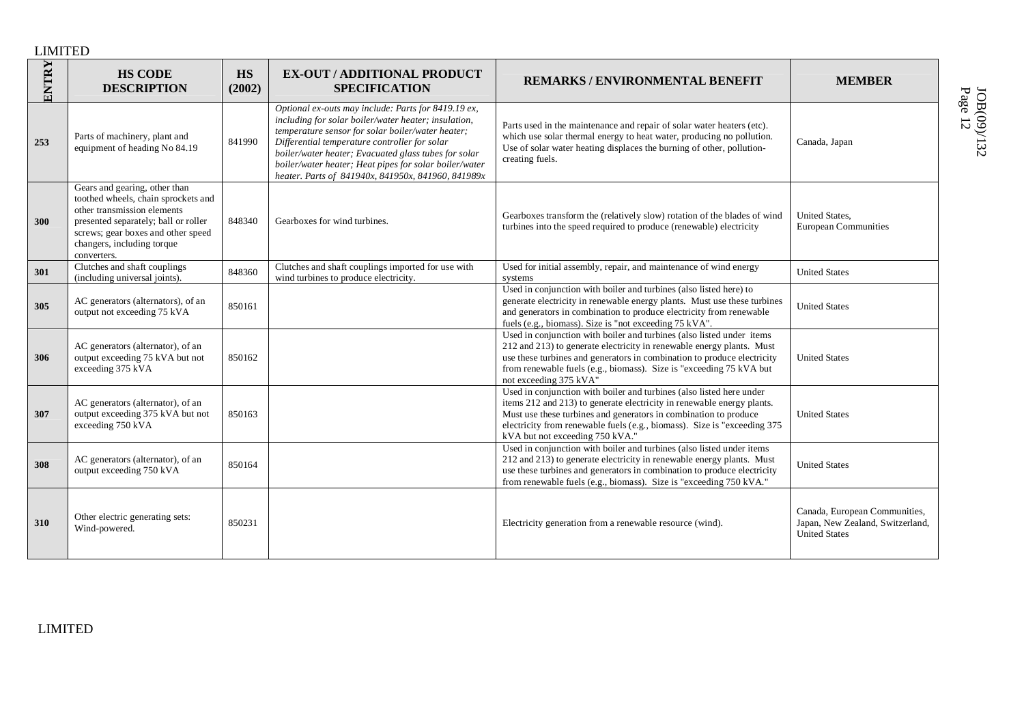| ENTRY | <b>HS CODE</b><br><b>DESCRIPTION</b>                                                                                                                                                                                           | HS<br>(2002) | <b>EX-OUT / ADDITIONAL PRODUCT</b><br><b>SPECIFICATION</b>                                                                                                                                                                                                                                                                                                                                | REMARKS / ENVIRONMENTAL BENEFIT                                                                                                                                                                                                                                                                                                   | <b>MEMBER</b>                                                                             |
|-------|--------------------------------------------------------------------------------------------------------------------------------------------------------------------------------------------------------------------------------|--------------|-------------------------------------------------------------------------------------------------------------------------------------------------------------------------------------------------------------------------------------------------------------------------------------------------------------------------------------------------------------------------------------------|-----------------------------------------------------------------------------------------------------------------------------------------------------------------------------------------------------------------------------------------------------------------------------------------------------------------------------------|-------------------------------------------------------------------------------------------|
| 253   | Parts of machinery, plant and<br>equipment of heading No 84.19                                                                                                                                                                 | 841990       | Optional ex-outs may include: Parts for 8419.19 ex,<br>including for solar boiler/water heater; insulation,<br>temperature sensor for solar boiler/water heater;<br>Differential temperature controller for solar<br>boiler/water heater; Evacuated glass tubes for solar<br>boiler/water heater; Heat pipes for solar boiler/water<br>heater. Parts of 841940x, 841950x, 841960, 841989x | Parts used in the maintenance and repair of solar water heaters (etc).<br>which use solar thermal energy to heat water, producing no pollution.<br>Use of solar water heating displaces the burning of other, pollution-<br>creating fuels.                                                                                       | Canada, Japan                                                                             |
| 300   | Gears and gearing, other than<br>toothed wheels, chain sprockets and<br>other transmission elements<br>presented separately; ball or roller<br>screws; gear boxes and other speed<br>changers, including torque<br>converters. | 848340       | Gearboxes for wind turbines.                                                                                                                                                                                                                                                                                                                                                              | Gearboxes transform the (relatively slow) rotation of the blades of wind<br>turbines into the speed required to produce (renewable) electricity                                                                                                                                                                                   | United States,<br><b>European Communities</b>                                             |
| 301   | Clutches and shaft couplings<br>(including universal joints).                                                                                                                                                                  | 848360       | Clutches and shaft couplings imported for use with<br>wind turbines to produce electricity.                                                                                                                                                                                                                                                                                               | Used for initial assembly, repair, and maintenance of wind energy<br>systems                                                                                                                                                                                                                                                      | <b>United States</b>                                                                      |
| 305   | AC generators (alternators), of an<br>output not exceeding 75 kVA                                                                                                                                                              | 850161       |                                                                                                                                                                                                                                                                                                                                                                                           | Used in conjunction with boiler and turbines (also listed here) to<br>generate electricity in renewable energy plants. Must use these turbines<br>and generators in combination to produce electricity from renewable<br>fuels (e.g., biomass). Size is "not exceeding 75 kVA".                                                   | <b>United States</b>                                                                      |
| 306   | AC generators (alternator), of an<br>output exceeding 75 kVA but not<br>exceeding 375 kVA                                                                                                                                      | 850162       |                                                                                                                                                                                                                                                                                                                                                                                           | Used in conjunction with boiler and turbines (also listed under items<br>212 and 213) to generate electricity in renewable energy plants. Must<br>use these turbines and generators in combination to produce electricity<br>from renewable fuels (e.g., biomass). Size is "exceeding 75 kVA but<br>not exceeding 375 kVA"        | <b>United States</b>                                                                      |
| 307   | AC generators (alternator), of an<br>output exceeding 375 kVA but not<br>exceeding 750 kVA                                                                                                                                     | 850163       |                                                                                                                                                                                                                                                                                                                                                                                           | Used in conjunction with boiler and turbines (also listed here under<br>items 212 and 213) to generate electricity in renewable energy plants.<br>Must use these turbines and generators in combination to produce<br>electricity from renewable fuels (e.g., biomass). Size is "exceeding 375<br>kVA but not exceeding 750 kVA." | <b>United States</b>                                                                      |
| 308   | AC generators (alternator), of an<br>output exceeding 750 kVA                                                                                                                                                                  | 850164       |                                                                                                                                                                                                                                                                                                                                                                                           | Used in conjunction with boiler and turbines (also listed under items<br>212 and 213) to generate electricity in renewable energy plants. Must<br>use these turbines and generators in combination to produce electricity<br>from renewable fuels (e.g., biomass). Size is "exceeding 750 kVA."                                   | <b>United States</b>                                                                      |
| 310   | Other electric generating sets:<br>Wind-powered.                                                                                                                                                                               | 850231       |                                                                                                                                                                                                                                                                                                                                                                                           | Electricity generation from a renewable resource (wind).                                                                                                                                                                                                                                                                          | Canada, European Communities,<br>Japan, New Zealand, Switzerland,<br><b>United States</b> |

Page JOB(09)/132 12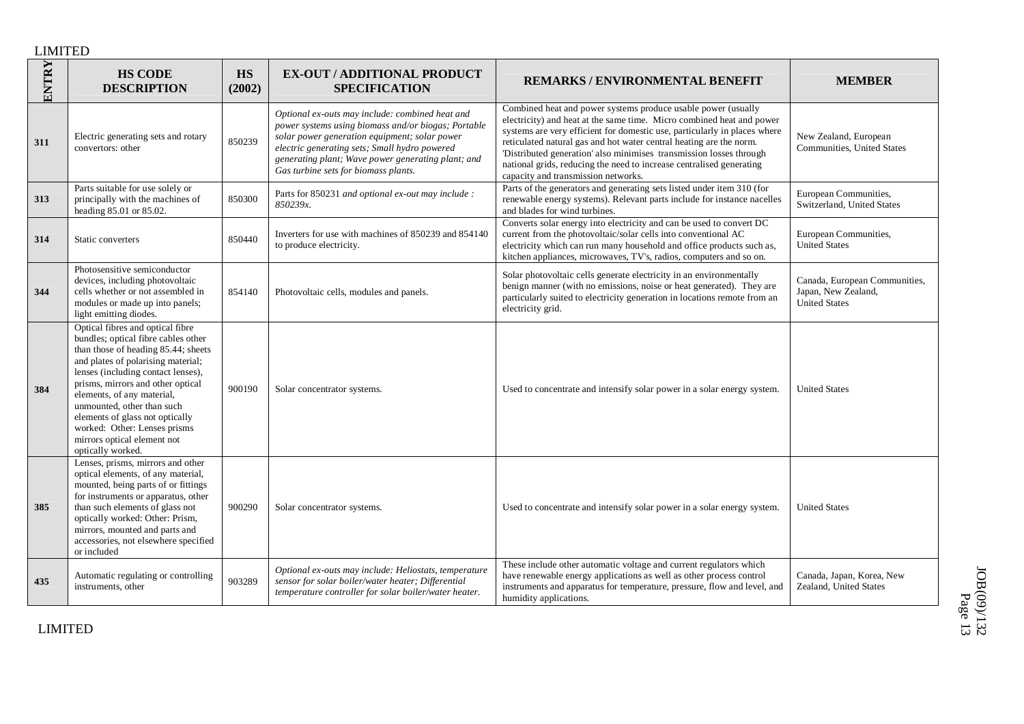| ENTRY | <b>HS CODE</b><br><b>DESCRIPTION</b>                                                                                                                                                                                                                                                                                                                                                                               | <b>HS</b><br>(2002) | <b>EX-OUT / ADDITIONAL PRODUCT</b><br><b>SPECIFICATION</b>                                                                                                                                                                                                                                             | <b>REMARKS / ENVIRONMENTAL BENEFIT</b>                                                                                                                                                                                                                                                                                                                                                                                                                                          | <b>MEMBER</b>                                                                |
|-------|--------------------------------------------------------------------------------------------------------------------------------------------------------------------------------------------------------------------------------------------------------------------------------------------------------------------------------------------------------------------------------------------------------------------|---------------------|--------------------------------------------------------------------------------------------------------------------------------------------------------------------------------------------------------------------------------------------------------------------------------------------------------|---------------------------------------------------------------------------------------------------------------------------------------------------------------------------------------------------------------------------------------------------------------------------------------------------------------------------------------------------------------------------------------------------------------------------------------------------------------------------------|------------------------------------------------------------------------------|
| 311   | Electric generating sets and rotary<br>convertors: other                                                                                                                                                                                                                                                                                                                                                           | 850239              | Optional ex-outs may include: combined heat and<br>power systems using biomass and/or biogas; Portable<br>solar power generation equipment; solar power<br>electric generating sets; Small hydro powered<br>generating plant; Wave power generating plant; and<br>Gas turbine sets for biomass plants. | Combined heat and power systems produce usable power (usually<br>electricity) and heat at the same time. Micro combined heat and power<br>systems are very efficient for domestic use, particularly in places where<br>reticulated natural gas and hot water central heating are the norm.<br>Distributed generation' also minimises transmission losses through<br>national grids, reducing the need to increase centralised generating<br>capacity and transmission networks. | New Zealand, European<br>Communities, United States                          |
| 313   | Parts suitable for use solely or<br>principally with the machines of<br>heading 85.01 or 85.02.                                                                                                                                                                                                                                                                                                                    | 850300              | Parts for 850231 and optional ex-out may include :<br>850239x.                                                                                                                                                                                                                                         | Parts of the generators and generating sets listed under item 310 (for<br>renewable energy systems). Relevant parts include for instance nacelles<br>and blades for wind turbines.                                                                                                                                                                                                                                                                                              | European Communities,<br>Switzerland, United States                          |
| 314   | Static converters                                                                                                                                                                                                                                                                                                                                                                                                  | 850440              | Inverters for use with machines of 850239 and 854140<br>to produce electricity.                                                                                                                                                                                                                        | Converts solar energy into electricity and can be used to convert DC<br>current from the photovoltaic/solar cells into conventional AC<br>electricity which can run many household and office products such as,<br>kitchen appliances, microwaves, TV's, radios, computers and so on.                                                                                                                                                                                           | European Communities,<br><b>United States</b>                                |
| 344   | Photosensitive semiconductor<br>devices, including photovoltaic<br>cells whether or not assembled in<br>modules or made up into panels;<br>light emitting diodes.                                                                                                                                                                                                                                                  | 854140              | Photovoltaic cells, modules and panels.                                                                                                                                                                                                                                                                | Solar photovoltaic cells generate electricity in an environmentally<br>benign manner (with no emissions, noise or heat generated). They are<br>particularly suited to electricity generation in locations remote from an<br>electricity grid.                                                                                                                                                                                                                                   | Canada, European Communities,<br>Japan, New Zealand,<br><b>United States</b> |
| 384   | Optical fibres and optical fibre<br>bundles; optical fibre cables other<br>than those of heading 85.44; sheets<br>and plates of polarising material;<br>lenses (including contact lenses),<br>prisms, mirrors and other optical<br>elements, of any material,<br>unmounted, other than such<br>elements of glass not optically<br>worked: Other: Lenses prisms<br>mirrors optical element not<br>optically worked. | 900190              | Solar concentrator systems.                                                                                                                                                                                                                                                                            | Used to concentrate and intensify solar power in a solar energy system.                                                                                                                                                                                                                                                                                                                                                                                                         | <b>United States</b>                                                         |
| 385   | Lenses, prisms, mirrors and other<br>optical elements, of any material,<br>mounted, being parts of or fittings<br>for instruments or apparatus, other<br>than such elements of glass not<br>optically worked: Other: Prism,<br>mirrors, mounted and parts and<br>accessories, not elsewhere specified<br>or included                                                                                               | 900290              | Solar concentrator systems.                                                                                                                                                                                                                                                                            | Used to concentrate and intensify solar power in a solar energy system.                                                                                                                                                                                                                                                                                                                                                                                                         | <b>United States</b>                                                         |
| 435   | Automatic regulating or controlling<br>instruments, other                                                                                                                                                                                                                                                                                                                                                          | 903289              | Optional ex-outs may include: Heliostats, temperature<br>sensor for solar boiler/water heater; Differential<br>temperature controller for solar boiler/water heater.                                                                                                                                   | These include other automatic voltage and current regulators which<br>have renewable energy applications as well as other process control<br>instruments and apparatus for temperature, pressure, flow and level, and<br>humidity applications.                                                                                                                                                                                                                                 | Canada, Japan, Korea, New<br>Zealand, United States                          |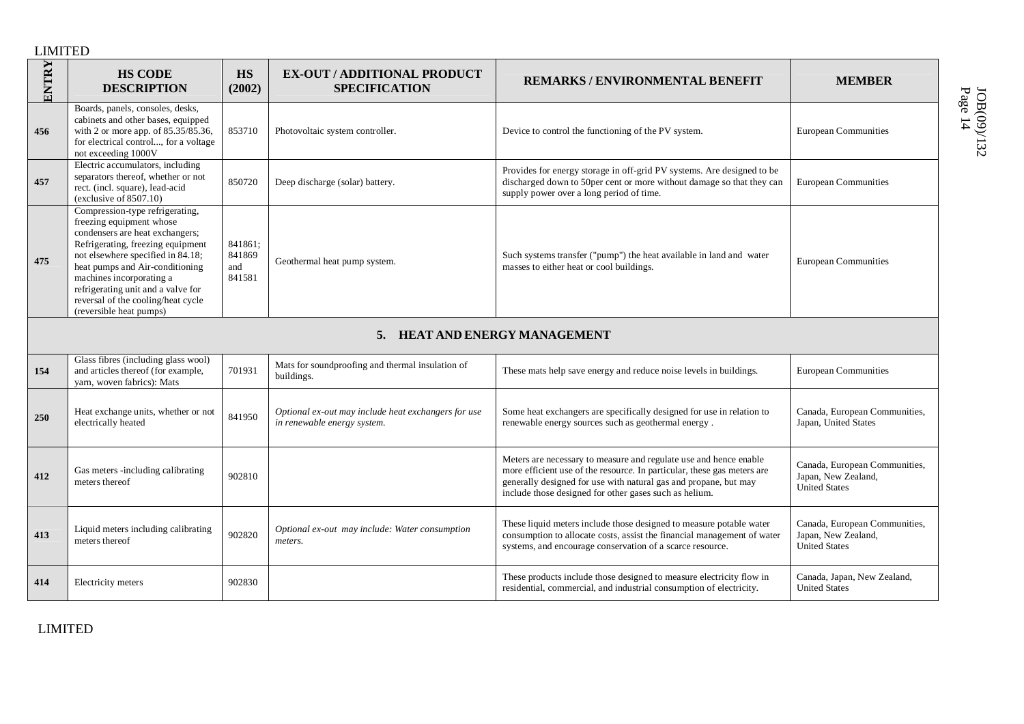| ENTRY | <b>HS CODE</b><br><b>DESCRIPTION</b>                                                                                                                                                                                                                                                                                                           | HS<br>(2002)                       | <b>EX-OUT / ADDITIONAL PRODUCT</b><br><b>SPECIFICATION</b>                         | <b>REMARKS/ENVIRONMENTAL BENEFIT</b>                                                                                                                                                                                                                                       | <b>MEMBER</b>                                                                |
|-------|------------------------------------------------------------------------------------------------------------------------------------------------------------------------------------------------------------------------------------------------------------------------------------------------------------------------------------------------|------------------------------------|------------------------------------------------------------------------------------|----------------------------------------------------------------------------------------------------------------------------------------------------------------------------------------------------------------------------------------------------------------------------|------------------------------------------------------------------------------|
| 456   | Boards, panels, consoles, desks,<br>cabinets and other bases, equipped<br>with 2 or more app. of 85.35/85.36,<br>for electrical control, for a voltage<br>not exceeding 1000V                                                                                                                                                                  | 853710                             | Photovoltaic system controller.                                                    | Device to control the functioning of the PV system.                                                                                                                                                                                                                        | <b>European Communities</b>                                                  |
| 457   | Electric accumulators, including<br>separators thereof, whether or not<br>rect. (incl. square), lead-acid<br>(exclusive of 8507.10)                                                                                                                                                                                                            | 850720                             | Deep discharge (solar) battery.                                                    | Provides for energy storage in off-grid PV systems. Are designed to be<br>discharged down to 50per cent or more without damage so that they can<br>supply power over a long period of time.                                                                                | <b>European Communities</b>                                                  |
| 475   | Compression-type refrigerating,<br>freezing equipment whose<br>condensers are heat exchangers;<br>Refrigerating, freezing equipment<br>not elsewhere specified in 84.18;<br>heat pumps and Air-conditioning<br>machines incorporating a<br>refrigerating unit and a valve for<br>reversal of the cooling/heat cycle<br>(reversible heat pumps) | 841861;<br>841869<br>and<br>841581 | Geothermal heat pump system.                                                       | Such systems transfer ("pump") the heat available in land and water<br>masses to either heat or cool buildings.                                                                                                                                                            | <b>European Communities</b>                                                  |
|       |                                                                                                                                                                                                                                                                                                                                                |                                    | 5. HEAT AND ENERGY MANAGEMENT                                                      |                                                                                                                                                                                                                                                                            |                                                                              |
| 154   | Glass fibres (including glass wool)<br>and articles thereof (for example,<br>yarn, woven fabrics): Mats                                                                                                                                                                                                                                        | 701931                             | Mats for soundproofing and thermal insulation of<br>buildings.                     | These mats help save energy and reduce noise levels in buildings.                                                                                                                                                                                                          | <b>European Communities</b>                                                  |
| 250   | Heat exchange units, whether or not<br>electrically heated                                                                                                                                                                                                                                                                                     | 841950                             | Optional ex-out may include heat exchangers for use<br>in renewable energy system. | Some heat exchangers are specifically designed for use in relation to<br>renewable energy sources such as geothermal energy.                                                                                                                                               | Canada, European Communities,<br>Japan, United States                        |
| 412   | Gas meters -including calibrating<br>meters thereof                                                                                                                                                                                                                                                                                            | 902810                             |                                                                                    | Meters are necessary to measure and regulate use and hence enable<br>more efficient use of the resource. In particular, these gas meters are<br>generally designed for use with natural gas and propane, but may<br>include those designed for other gases such as helium. | Canada, European Communities,<br>Japan, New Zealand,<br><b>United States</b> |
| 413   | Liquid meters including calibrating<br>meters thereof                                                                                                                                                                                                                                                                                          | 902820                             | Optional ex-out may include: Water consumption<br>meters.                          | These liquid meters include those designed to measure potable water<br>consumption to allocate costs, assist the financial management of water<br>systems, and encourage conservation of a scarce resource.                                                                | Canada, European Communities,<br>Japan, New Zealand,<br><b>United States</b> |
| 414   | Electricity meters                                                                                                                                                                                                                                                                                                                             | 902830                             |                                                                                    | These products include those designed to measure electricity flow in<br>residential, commercial, and industrial consumption of electricity.                                                                                                                                | Canada, Japan, New Zealand,<br><b>United States</b>                          |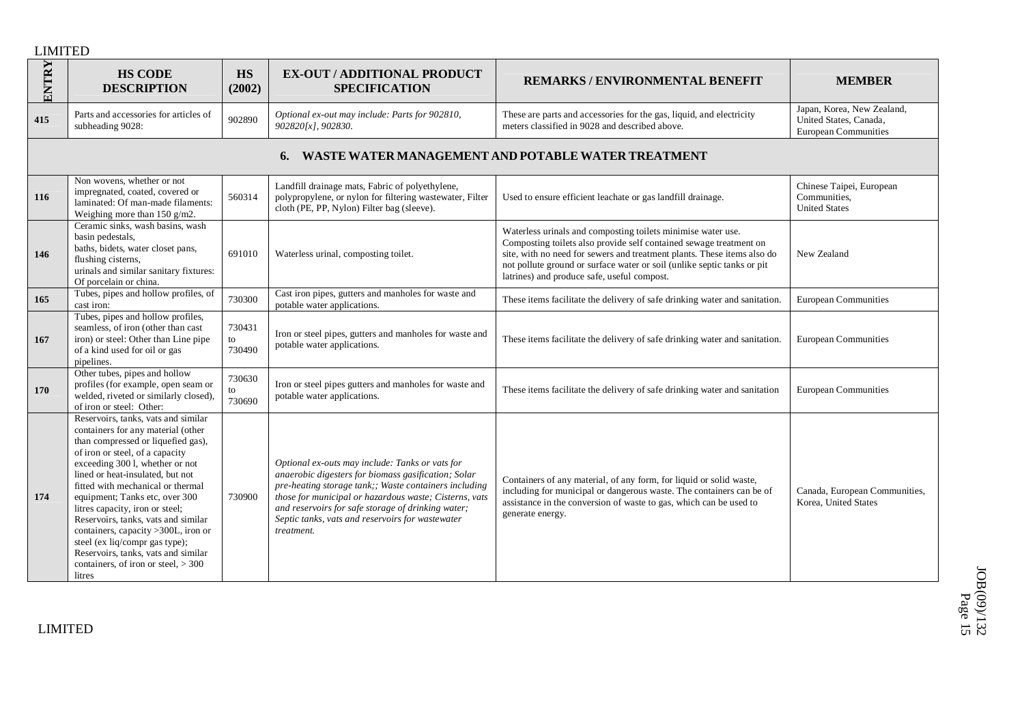| ENTRY | <b>HS CODE</b><br><b>DESCRIPTION</b>                                                                                                                                                                                                                                                                                                                                                                                                                                                                                                          | <b>HS</b><br>(2002)    | <b>EX-OUT / ADDITIONAL PRODUCT</b><br><b>SPECIFICATION</b>                                                                                                                                                                                                                                                                                        | <b>REMARKS/ENVIRONMENTAL BENEFIT</b>                                                                                                                                                                                                                                                                                                    | <b>MEMBER</b>                                                                       |
|-------|-----------------------------------------------------------------------------------------------------------------------------------------------------------------------------------------------------------------------------------------------------------------------------------------------------------------------------------------------------------------------------------------------------------------------------------------------------------------------------------------------------------------------------------------------|------------------------|---------------------------------------------------------------------------------------------------------------------------------------------------------------------------------------------------------------------------------------------------------------------------------------------------------------------------------------------------|-----------------------------------------------------------------------------------------------------------------------------------------------------------------------------------------------------------------------------------------------------------------------------------------------------------------------------------------|-------------------------------------------------------------------------------------|
| 415   | Parts and accessories for articles of<br>subheading 9028:                                                                                                                                                                                                                                                                                                                                                                                                                                                                                     | 902890                 | Optional ex-out may include: Parts for 902810,<br>902820[x], 902830.                                                                                                                                                                                                                                                                              | These are parts and accessories for the gas, liquid, and electricity<br>meters classified in 9028 and described above.                                                                                                                                                                                                                  | Japan, Korea, New Zealand,<br>United States, Canada,<br><b>European Communities</b> |
|       |                                                                                                                                                                                                                                                                                                                                                                                                                                                                                                                                               |                        |                                                                                                                                                                                                                                                                                                                                                   | WASTE WATER MANAGEMENT AND POTABLE WATER TREATMENT                                                                                                                                                                                                                                                                                      |                                                                                     |
| 116   | Non wovens, whether or not<br>impregnated, coated, covered or<br>laminated: Of man-made filaments:<br>Weighing more than 150 g/m2.                                                                                                                                                                                                                                                                                                                                                                                                            | 560314                 | Landfill drainage mats, Fabric of polyethylene,<br>polypropylene, or nylon for filtering wastewater, Filter<br>cloth (PE, PP, Nylon) Filter bag (sleeve).                                                                                                                                                                                         | Used to ensure efficient leachate or gas landfill drainage.                                                                                                                                                                                                                                                                             | Chinese Taipei, European<br>Communities,<br><b>United States</b>                    |
| 146   | Ceramic sinks, wash basins, wash<br>basin pedestals,<br>baths, bidets, water closet pans,<br>flushing cisterns,<br>urinals and similar sanitary fixtures:<br>Of porcelain or china.                                                                                                                                                                                                                                                                                                                                                           | 691010                 | Waterless urinal, composting toilet.                                                                                                                                                                                                                                                                                                              | Waterless urinals and composting toilets minimise water use.<br>Composting toilets also provide self contained sewage treatment on<br>site, with no need for sewers and treatment plants. These items also do<br>not pollute ground or surface water or soil (unlike septic tanks or pit<br>latrines) and produce safe, useful compost. | New Zealand                                                                         |
| 165   | Tubes, pipes and hollow profiles, of<br>cast iron:                                                                                                                                                                                                                                                                                                                                                                                                                                                                                            | 730300                 | Cast iron pipes, gutters and manholes for waste and<br>potable water applications.                                                                                                                                                                                                                                                                | These items facilitate the delivery of safe drinking water and sanitation.                                                                                                                                                                                                                                                              | <b>European Communities</b>                                                         |
| 167   | Tubes, pipes and hollow profiles,<br>seamless, of iron (other than cast<br>iron) or steel: Other than Line pipe<br>of a kind used for oil or gas<br>pipelines.                                                                                                                                                                                                                                                                                                                                                                                | 730431<br>to<br>730490 | Iron or steel pipes, gutters and manholes for waste and<br>potable water applications.                                                                                                                                                                                                                                                            | These items facilitate the delivery of safe drinking water and sanitation.                                                                                                                                                                                                                                                              | <b>European Communities</b>                                                         |
| 170   | Other tubes, pipes and hollow<br>profiles (for example, open seam or<br>welded, riveted or similarly closed),<br>of iron or steel: Other:                                                                                                                                                                                                                                                                                                                                                                                                     | 730630<br>to<br>730690 | Iron or steel pipes gutters and manholes for waste and<br>potable water applications.                                                                                                                                                                                                                                                             | These items facilitate the delivery of safe drinking water and sanitation                                                                                                                                                                                                                                                               | <b>European Communities</b>                                                         |
| 174   | Reservoirs, tanks, vats and similar<br>containers for any material (other<br>than compressed or liquefied gas),<br>of iron or steel, of a capacity<br>exceeding 300 l, whether or not<br>lined or heat-insulated, but not<br>fitted with mechanical or thermal<br>equipment; Tanks etc, over 300<br>litres capacity, iron or steel;<br>Reservoirs, tanks, vats and similar<br>containers, capacity >300L, iron or<br>steel (ex liq/compr gas type);<br>Reservoirs, tanks, vats and similar<br>containers, of iron or steel, $> 300$<br>litres | 730900                 | Optional ex-outs may include: Tanks or vats for<br>anaerobic digesters for biomass gasification; Solar<br>pre-heating storage tank;; Waste containers including<br>those for municipal or hazardous waste; Cisterns, vats<br>and reservoirs for safe storage of drinking water;<br>Septic tanks, vats and reservoirs for wastewater<br>treatment. | Containers of any material, of any form, for liquid or solid waste,<br>including for municipal or dangerous waste. The containers can be of<br>assistance in the conversion of waste to gas, which can be used to<br>generate energy.                                                                                                   | Canada, European Communities,<br>Korea, United States                               |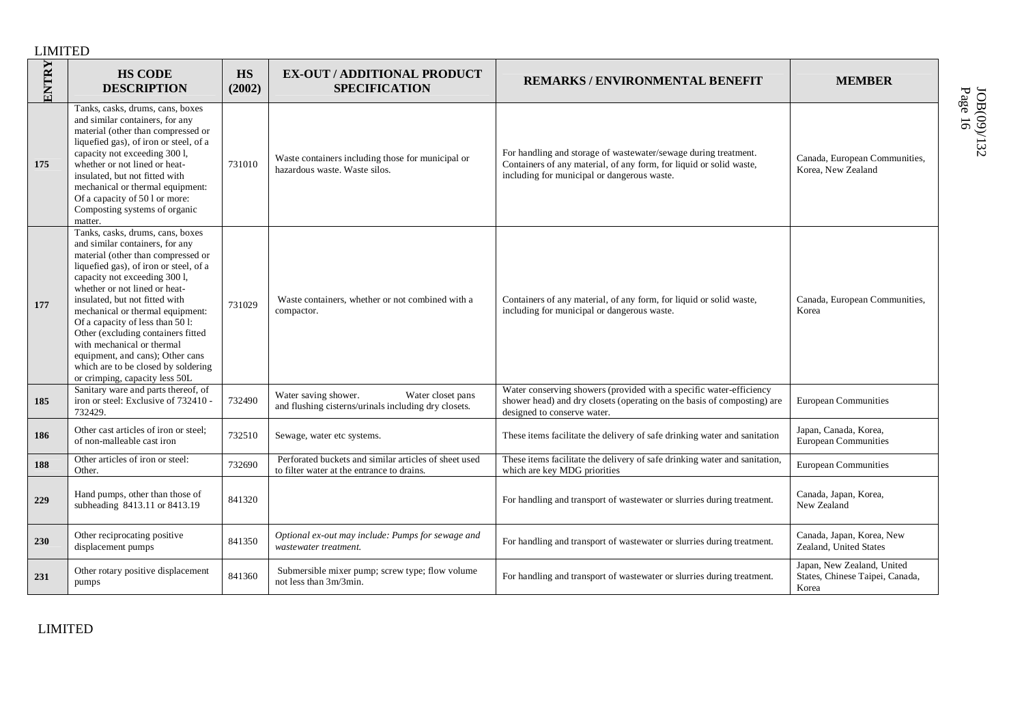| ENTRY | <b>HS CODE</b><br><b>DESCRIPTION</b>                                                                                                                                                                                                                                                                                                                                                                                                                                                                             | <b>HS</b><br>(2002) | <b>EX-OUT / ADDITIONAL PRODUCT</b><br><b>SPECIFICATION</b>                                          | <b>REMARKS/ENVIRONMENTAL BENEFIT</b>                                                                                                                                                  | <b>MEMBER</b>                                                          |
|-------|------------------------------------------------------------------------------------------------------------------------------------------------------------------------------------------------------------------------------------------------------------------------------------------------------------------------------------------------------------------------------------------------------------------------------------------------------------------------------------------------------------------|---------------------|-----------------------------------------------------------------------------------------------------|---------------------------------------------------------------------------------------------------------------------------------------------------------------------------------------|------------------------------------------------------------------------|
| 175   | Tanks, casks, drums, cans, boxes<br>and similar containers, for any<br>material (other than compressed or<br>liquefied gas), of iron or steel, of a<br>capacity not exceeding 300 l,<br>whether or not lined or heat-<br>insulated, but not fitted with<br>mechanical or thermal equipment:<br>Of a capacity of 50 l or more:<br>Composting systems of organic<br>matter.                                                                                                                                        | 731010              | Waste containers including those for municipal or<br>hazardous waste. Waste silos.                  | For handling and storage of wastewater/sewage during treatment.<br>Containers of any material, of any form, for liquid or solid waste,<br>including for municipal or dangerous waste. | Canada, European Communities,<br>Korea, New Zealand                    |
| 177   | Tanks, casks, drums, cans, boxes<br>and similar containers, for any<br>material (other than compressed or<br>liquefied gas), of iron or steel, of a<br>capacity not exceeding 300 l,<br>whether or not lined or heat-<br>insulated, but not fitted with<br>mechanical or thermal equipment:<br>Of a capacity of less than 50 l:<br>Other (excluding containers fitted<br>with mechanical or thermal<br>equipment, and cans); Other cans<br>which are to be closed by soldering<br>or crimping, capacity less 50L | 731029              | Waste containers, whether or not combined with a<br>compactor.                                      | Containers of any material, of any form, for liquid or solid waste,<br>including for municipal or dangerous waste.                                                                    | Canada, European Communities,<br>Korea                                 |
| 185   | Sanitary ware and parts thereof, of<br>iron or steel: Exclusive of 732410 -<br>732429.                                                                                                                                                                                                                                                                                                                                                                                                                           | 732490              | Water saving shower.<br>Water closet pans<br>and flushing cisterns/urinals including dry closets.   | Water conserving showers (provided with a specific water-efficiency<br>shower head) and dry closets (operating on the basis of composting) are<br>designed to conserve water.         | <b>European Communities</b>                                            |
| 186   | Other cast articles of iron or steel;<br>of non-malleable cast iron                                                                                                                                                                                                                                                                                                                                                                                                                                              | 732510              | Sewage, water etc systems.                                                                          | These items facilitate the delivery of safe drinking water and sanitation                                                                                                             | Japan, Canada, Korea,<br>European Communities                          |
| 188   | Other articles of iron or steel:<br>Other.                                                                                                                                                                                                                                                                                                                                                                                                                                                                       | 732690              | Perforated buckets and similar articles of sheet used<br>to filter water at the entrance to drains. | These items facilitate the delivery of safe drinking water and sanitation,<br>which are key MDG priorities                                                                            | <b>European Communities</b>                                            |
| 229   | Hand pumps, other than those of<br>subheading 8413.11 or 8413.19                                                                                                                                                                                                                                                                                                                                                                                                                                                 | 841320              |                                                                                                     | For handling and transport of wastewater or slurries during treatment.                                                                                                                | Canada, Japan, Korea,<br>New Zealand                                   |
| 230   | Other reciprocating positive<br>displacement pumps                                                                                                                                                                                                                                                                                                                                                                                                                                                               | 841350              | Optional ex-out may include: Pumps for sewage and<br>wastewater treatment.                          | For handling and transport of wastewater or slurries during treatment.                                                                                                                | Canada, Japan, Korea, New<br>Zealand, United States                    |
| 231   | Other rotary positive displacement<br>pumps                                                                                                                                                                                                                                                                                                                                                                                                                                                                      | 841360              | Submersible mixer pump; screw type; flow volume<br>not less than 3m/3min.                           | For handling and transport of wastewater or slurries during treatment.                                                                                                                | Japan, New Zealand, United<br>States, Chinese Taipei, Canada,<br>Korea |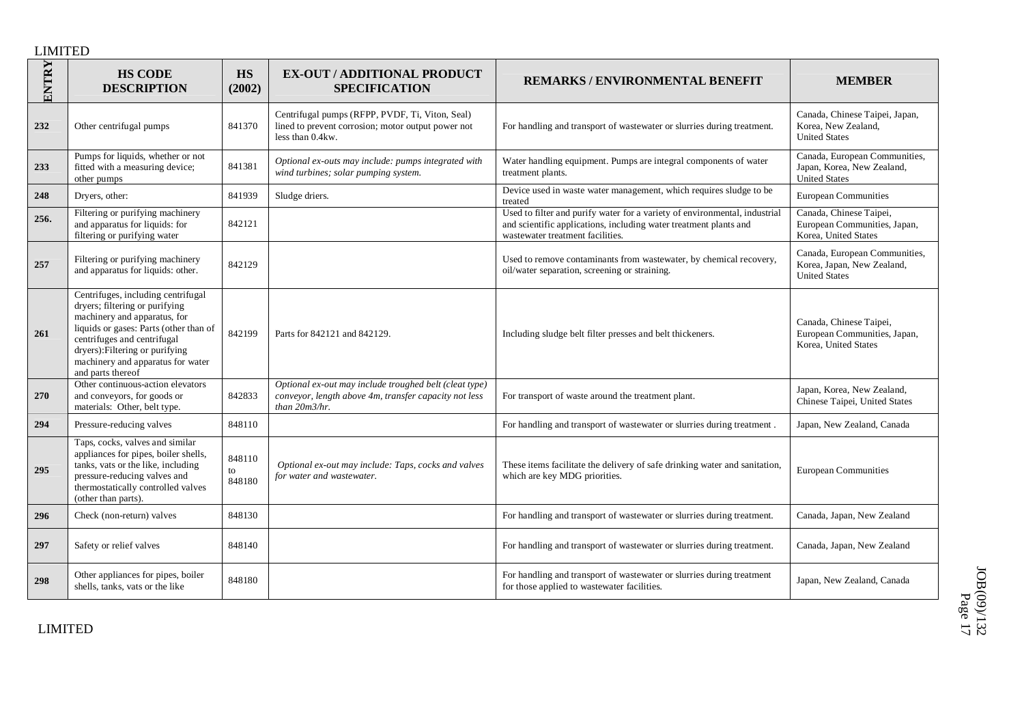| ENTRY      | <b>HS CODE</b><br><b>DESCRIPTION</b>                                                                                                                                                                                                                                       | HS<br>(2002)           | <b>EX-OUT / ADDITIONAL PRODUCT</b><br><b>SPECIFICATION</b>                                                                       | <b>REMARKS/ENVIRONMENTAL BENEFIT</b>                                                                                                                                                | <b>MEMBER</b>                                                                       |
|------------|----------------------------------------------------------------------------------------------------------------------------------------------------------------------------------------------------------------------------------------------------------------------------|------------------------|----------------------------------------------------------------------------------------------------------------------------------|-------------------------------------------------------------------------------------------------------------------------------------------------------------------------------------|-------------------------------------------------------------------------------------|
| 232        | Other centrifugal pumps                                                                                                                                                                                                                                                    | 841370                 | Centrifugal pumps (RFPP, PVDF, Ti, Viton, Seal)<br>lined to prevent corrosion; motor output power not<br>less than 0.4kw.        | For handling and transport of wastewater or slurries during treatment.                                                                                                              | Canada, Chinese Taipei, Japan,<br>Korea, New Zealand,<br><b>United States</b>       |
| 233        | Pumps for liquids, whether or not<br>fitted with a measuring device;<br>other pumps                                                                                                                                                                                        | 841381                 | Optional ex-outs may include: pumps integrated with<br>wind turbines; solar pumping system.                                      | Water handling equipment. Pumps are integral components of water<br>treatment plants.                                                                                               | Canada, European Communities,<br>Japan, Korea, New Zealand,<br><b>United States</b> |
| 248        | Dryers, other:                                                                                                                                                                                                                                                             | 841939                 | Sludge driers.                                                                                                                   | Device used in waste water management, which requires sludge to be<br>treated                                                                                                       | <b>European Communities</b>                                                         |
| 256.       | Filtering or purifying machinery<br>and apparatus for liquids: for<br>filtering or purifying water                                                                                                                                                                         | 842121                 |                                                                                                                                  | Used to filter and purify water for a variety of environmental, industrial<br>and scientific applications, including water treatment plants and<br>wastewater treatment facilities. | Canada, Chinese Taipei,<br>European Communities, Japan,<br>Korea, United States     |
| 257        | Filtering or purifying machinery<br>and apparatus for liquids: other.                                                                                                                                                                                                      | 842129                 |                                                                                                                                  | Used to remove contaminants from wastewater, by chemical recovery,<br>oil/water separation, screening or straining.                                                                 | Canada, European Communities,<br>Korea, Japan, New Zealand,<br><b>United States</b> |
| 261        | Centrifuges, including centrifugal<br>dryers; filtering or purifying<br>machinery and apparatus, for<br>liquids or gases: Parts (other than of<br>centrifuges and centrifugal<br>dryers): Filtering or purifying<br>machinery and apparatus for water<br>and parts thereof | 842199                 | Parts for 842121 and 842129.                                                                                                     | Including sludge belt filter presses and belt thickeners.                                                                                                                           | Canada, Chinese Taipei,<br>European Communities, Japan,<br>Korea, United States     |
| <b>270</b> | Other continuous-action elevators<br>and conveyors, for goods or<br>materials: Other, belt type.                                                                                                                                                                           | 842833                 | Optional ex-out may include troughed belt (cleat type)<br>conveyor, length above 4m, transfer capacity not less<br>than 20m3/hr. | For transport of waste around the treatment plant.                                                                                                                                  | Japan, Korea, New Zealand,<br>Chinese Taipei, United States                         |
| 294        | Pressure-reducing valves                                                                                                                                                                                                                                                   | 848110                 |                                                                                                                                  | For handling and transport of wastewater or slurries during treatment.                                                                                                              | Japan, New Zealand, Canada                                                          |
| 295        | Taps, cocks, valves and similar<br>appliances for pipes, boiler shells,<br>tanks, vats or the like, including<br>pressure-reducing valves and<br>thermostatically controlled valves<br>(other than parts).                                                                 | 848110<br>to<br>848180 | Optional ex-out may include: Taps, cocks and valves<br>for water and wastewater.                                                 | These items facilitate the delivery of safe drinking water and sanitation,<br>which are key MDG priorities.                                                                         | <b>European Communities</b>                                                         |
| 296        | Check (non-return) valves                                                                                                                                                                                                                                                  | 848130                 |                                                                                                                                  | For handling and transport of wastewater or slurries during treatment.                                                                                                              | Canada, Japan, New Zealand                                                          |
| 297        | Safety or relief valves                                                                                                                                                                                                                                                    | 848140                 |                                                                                                                                  | For handling and transport of wastewater or slurries during treatment.                                                                                                              | Canada, Japan, New Zealand                                                          |
| 298        | Other appliances for pipes, boiler<br>shells, tanks, vats or the like                                                                                                                                                                                                      | 848180                 |                                                                                                                                  | For handling and transport of wastewater or slurries during treatment<br>for those applied to wastewater facilities.                                                                | Japan, New Zealand, Canada                                                          |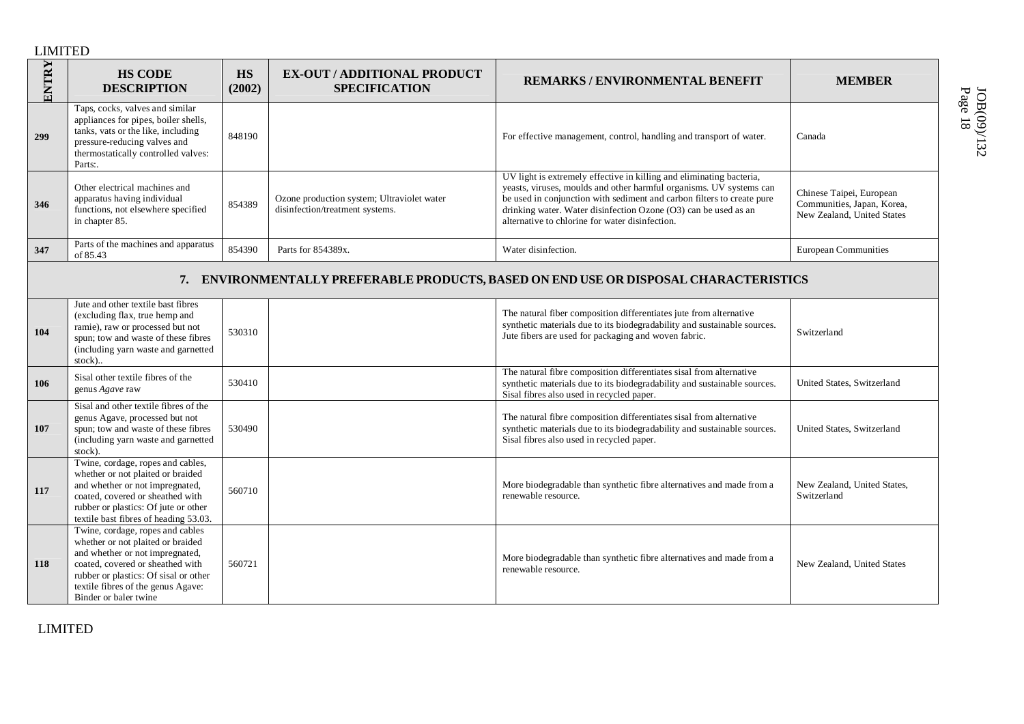| ENTRY | <b>HS CODE</b><br><b>DESCRIPTION</b>                                                                                                                                                                                                                 | <b>HS</b><br>(2002) | <b>EX-OUT / ADDITIONAL PRODUCT</b><br><b>SPECIFICATION</b>                    | <b>REMARKS/ENVIRONMENTAL BENEFIT</b>                                                                                                                                                                                                                                                                                                        | <b>MEMBER</b>                                                                        |
|-------|------------------------------------------------------------------------------------------------------------------------------------------------------------------------------------------------------------------------------------------------------|---------------------|-------------------------------------------------------------------------------|---------------------------------------------------------------------------------------------------------------------------------------------------------------------------------------------------------------------------------------------------------------------------------------------------------------------------------------------|--------------------------------------------------------------------------------------|
| 299   | Taps, cocks, valves and similar<br>appliances for pipes, boiler shells,<br>tanks, vats or the like, including<br>pressure-reducing valves and<br>thermostatically controlled valves:<br>Parts:.                                                      | 848190              |                                                                               | For effective management, control, handling and transport of water.                                                                                                                                                                                                                                                                         | Canada                                                                               |
| 346   | Other electrical machines and<br>apparatus having individual<br>functions, not elsewhere specified<br>in chapter 85.                                                                                                                                 | 854389              | Ozone production system; Ultraviolet water<br>disinfection/treatment systems. | UV light is extremely effective in killing and eliminating bacteria,<br>yeasts, viruses, moulds and other harmful organisms. UV systems can<br>be used in conjunction with sediment and carbon filters to create pure<br>drinking water. Water disinfection Ozone (O3) can be used as an<br>alternative to chlorine for water disinfection. | Chinese Taipei, European<br>Communities, Japan, Korea,<br>New Zealand, United States |
| 347   | Parts of the machines and apparatus<br>of 85.43                                                                                                                                                                                                      | 854390              | Parts for 854389x.                                                            | Water disinfection.                                                                                                                                                                                                                                                                                                                         | <b>European Communities</b>                                                          |
|       |                                                                                                                                                                                                                                                      |                     |                                                                               | 7. ENVIRONMENTALLY PREFERABLE PRODUCTS, BASED ON END USE OR DISPOSAL CHARACTERISTICS                                                                                                                                                                                                                                                        |                                                                                      |
| 104   | Jute and other textile bast fibres<br>(excluding flax, true hemp and<br>ramie), raw or processed but not<br>spun; tow and waste of these fibres<br>(including yarn waste and garnetted<br>stock)                                                     | 530310              |                                                                               | The natural fiber composition differentiates jute from alternative<br>synthetic materials due to its biodegradability and sustainable sources.<br>Jute fibers are used for packaging and woven fabric.                                                                                                                                      | Switzerland                                                                          |
| 106   | Sisal other textile fibres of the<br>genus Agave raw                                                                                                                                                                                                 | 530410              |                                                                               | The natural fibre composition differentiates sisal from alternative<br>synthetic materials due to its biodegradability and sustainable sources.<br>Sisal fibres also used in recycled paper.                                                                                                                                                | United States, Switzerland                                                           |
| 107   | Sisal and other textile fibres of the<br>genus Agave, processed but not<br>spun; tow and waste of these fibres<br>(including yarn waste and garnetted<br>stock).                                                                                     | 530490              |                                                                               | The natural fibre composition differentiates sisal from alternative<br>synthetic materials due to its biodegradability and sustainable sources.<br>Sisal fibres also used in recycled paper.                                                                                                                                                | United States, Switzerland                                                           |
| 117   | Twine, cordage, ropes and cables,<br>whether or not plaited or braided<br>and whether or not impregnated,<br>coated, covered or sheathed with<br>rubber or plastics: Of jute or other<br>textile bast fibres of heading 53.03.                       | 560710              |                                                                               | More biodegradable than synthetic fibre alternatives and made from a<br>renewable resource.                                                                                                                                                                                                                                                 | New Zealand, United States,<br>Switzerland                                           |
| 118   | Twine, cordage, ropes and cables<br>whether or not plaited or braided<br>and whether or not impregnated,<br>coated, covered or sheathed with<br>rubber or plastics: Of sisal or other<br>textile fibres of the genus Agave:<br>Binder or baler twine | 560721              |                                                                               | More biodegradable than synthetic fibre alternatives and made from a<br>renewable resource.                                                                                                                                                                                                                                                 | New Zealand, United States                                                           |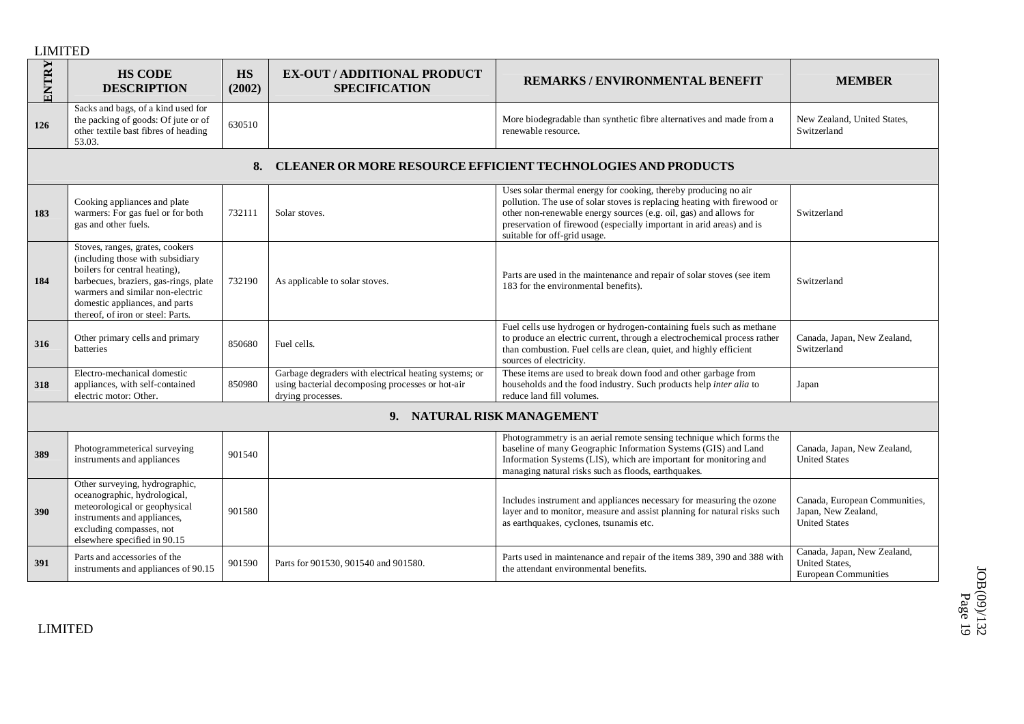| ENTRY                      | <b>HS CODE</b><br><b>DESCRIPTION</b>                                                                                                                                                                                                                     | <b>HS</b><br>(2002) | <b>EX-OUT / ADDITIONAL PRODUCT</b><br><b>SPECIFICATION</b>                                                                     | <b>REMARKS/ENVIRONMENTAL BENEFIT</b>                                                                                                                                                                                                                                                                                     | <b>MEMBER</b>                                                                |
|----------------------------|----------------------------------------------------------------------------------------------------------------------------------------------------------------------------------------------------------------------------------------------------------|---------------------|--------------------------------------------------------------------------------------------------------------------------------|--------------------------------------------------------------------------------------------------------------------------------------------------------------------------------------------------------------------------------------------------------------------------------------------------------------------------|------------------------------------------------------------------------------|
| 126                        | Sacks and bags, of a kind used for<br>the packing of goods: Of jute or of<br>other textile bast fibres of heading<br>53.03.                                                                                                                              | 630510              |                                                                                                                                | More biodegradable than synthetic fibre alternatives and made from a<br>renewable resource.                                                                                                                                                                                                                              | New Zealand, United States,<br>Switzerland                                   |
|                            |                                                                                                                                                                                                                                                          | 8.                  |                                                                                                                                | <b>CLEANER OR MORE RESOURCE EFFICIENT TECHNOLOGIES AND PRODUCTS</b>                                                                                                                                                                                                                                                      |                                                                              |
| 183                        | Cooking appliances and plate<br>warmers: For gas fuel or for both<br>gas and other fuels.                                                                                                                                                                | 732111              | Solar stoves.                                                                                                                  | Uses solar thermal energy for cooking, thereby producing no air<br>pollution. The use of solar stoves is replacing heating with firewood or<br>other non-renewable energy sources (e.g. oil, gas) and allows for<br>preservation of firewood (especially important in arid areas) and is<br>suitable for off-grid usage. | Switzerland                                                                  |
| 184                        | Stoves, ranges, grates, cookers<br>(including those with subsidiary<br>boilers for central heating),<br>barbecues, braziers, gas-rings, plate<br>warmers and similar non-electric<br>domestic appliances, and parts<br>thereof, of iron or steel: Parts. | 732190              | As applicable to solar stoves.                                                                                                 | Parts are used in the maintenance and repair of solar stoves (see item<br>183 for the environmental benefits).                                                                                                                                                                                                           | Switzerland                                                                  |
| 316                        | Other primary cells and primary<br>batteries                                                                                                                                                                                                             | 850680              | Fuel cells.                                                                                                                    | Fuel cells use hydrogen or hydrogen-containing fuels such as methane<br>to produce an electric current, through a electrochemical process rather<br>than combustion. Fuel cells are clean, quiet, and highly efficient<br>sources of electricity.                                                                        | Canada, Japan, New Zealand,<br>Switzerland                                   |
| 318                        | Electro-mechanical domestic<br>appliances, with self-contained<br>electric motor: Other.                                                                                                                                                                 | 850980              | Garbage degraders with electrical heating systems; or<br>using bacterial decomposing processes or hot-air<br>drying processes. | These items are used to break down food and other garbage from<br>households and the food industry. Such products help inter alia to<br>reduce land fill volumes.                                                                                                                                                        | Japan                                                                        |
| 9. NATURAL RISK MANAGEMENT |                                                                                                                                                                                                                                                          |                     |                                                                                                                                |                                                                                                                                                                                                                                                                                                                          |                                                                              |
| 389                        | Photogrammeterical surveying<br>instruments and appliances                                                                                                                                                                                               | 901540              |                                                                                                                                | Photogrammetry is an aerial remote sensing technique which forms the<br>baseline of many Geographic Information Systems (GIS) and Land<br>Information Systems (LIS), which are important for monitoring and<br>managing natural risks such as floods, earthquakes.                                                       | Canada, Japan, New Zealand,<br><b>United States</b>                          |
| 390                        | Other surveying, hydrographic,<br>oceanographic, hydrological,<br>meteorological or geophysical<br>instruments and appliances,<br>excluding compasses, not<br>elsewhere specified in 90.15                                                               | 901580              |                                                                                                                                | Includes instrument and appliances necessary for measuring the ozone<br>layer and to monitor, measure and assist planning for natural risks such<br>as earthquakes, cyclones, tsunamis etc.                                                                                                                              | Canada, European Communities,<br>Japan, New Zealand,<br><b>United States</b> |
| 391                        | Parts and accessories of the<br>instruments and appliances of 90.15                                                                                                                                                                                      | 901590              | Parts for 901530, 901540 and 901580.                                                                                           | Parts used in maintenance and repair of the items 389, 390 and 388 with<br>the attendant environmental benefits.                                                                                                                                                                                                         | Canada, Japan, New Zealand,<br>United States,<br><b>European Communities</b> |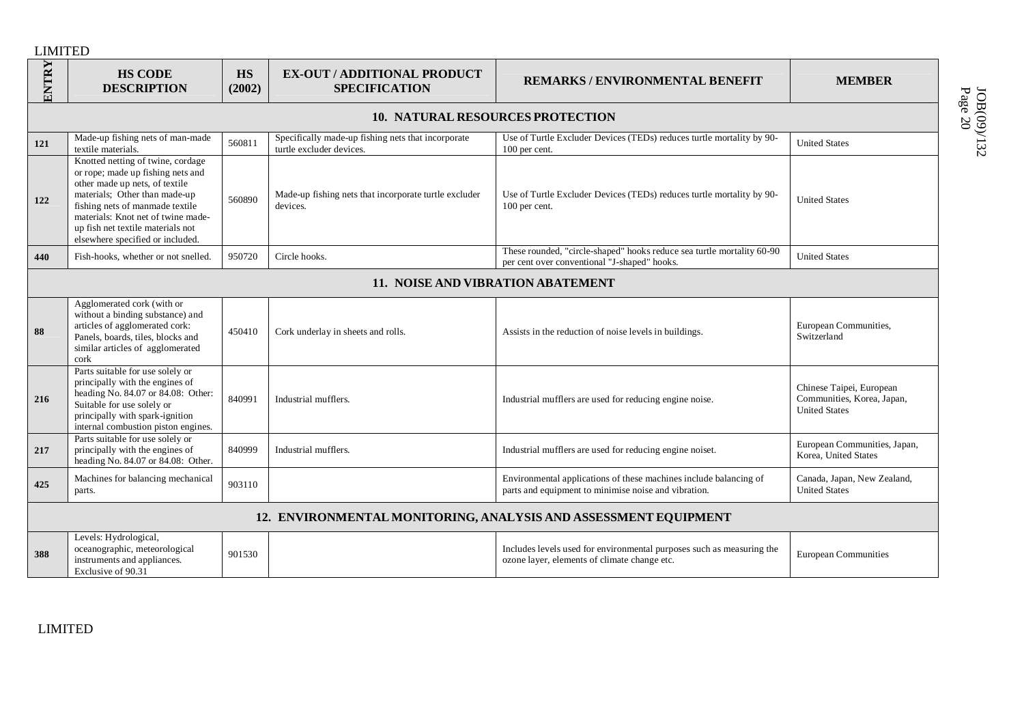| ENTRY                                                           | <b>HS CODE</b><br><b>DESCRIPTION</b>                                                                                                                                                                                                                                                        | <b>HS</b><br>(2002) | <b>EX-OUT / ADDITIONAL PRODUCT</b><br><b>SPECIFICATION</b>                     | <b>REMARKS/ENVIRONMENTAL BENEFIT</b>                                                                                      | <b>MEMBER</b>                                                                  |  |
|-----------------------------------------------------------------|---------------------------------------------------------------------------------------------------------------------------------------------------------------------------------------------------------------------------------------------------------------------------------------------|---------------------|--------------------------------------------------------------------------------|---------------------------------------------------------------------------------------------------------------------------|--------------------------------------------------------------------------------|--|
|                                                                 | <b>10. NATURAL RESOURCES PROTECTION</b>                                                                                                                                                                                                                                                     |                     |                                                                                |                                                                                                                           |                                                                                |  |
| 121                                                             | Made-up fishing nets of man-made<br>textile materials.                                                                                                                                                                                                                                      | 560811              | Specifically made-up fishing nets that incorporate<br>turtle excluder devices. | Use of Turtle Excluder Devices (TEDs) reduces turtle mortality by 90-<br>100 per cent.                                    | <b>United States</b>                                                           |  |
| 122                                                             | Knotted netting of twine, cordage<br>or rope; made up fishing nets and<br>other made up nets, of textile<br>materials; Other than made-up<br>fishing nets of manmade textile<br>materials: Knot net of twine made-<br>up fish net textile materials not<br>elsewhere specified or included. | 560890              | Made-up fishing nets that incorporate turtle excluder<br>devices.              | Use of Turtle Excluder Devices (TEDs) reduces turtle mortality by 90-<br>100 per cent.                                    | <b>United States</b>                                                           |  |
| 440                                                             | Fish-hooks, whether or not snelled.                                                                                                                                                                                                                                                         | 950720              | Circle hooks.                                                                  | These rounded, "circle-shaped" hooks reduce sea turtle mortality 60-90<br>per cent over conventional "J-shaped" hooks.    | <b>United States</b>                                                           |  |
|                                                                 | 11. NOISE AND VIBRATION ABATEMENT                                                                                                                                                                                                                                                           |                     |                                                                                |                                                                                                                           |                                                                                |  |
| 88                                                              | Agglomerated cork (with or<br>without a binding substance) and<br>articles of agglomerated cork:<br>Panels, boards, tiles, blocks and<br>similar articles of agglomerated<br>cork                                                                                                           | 450410              | Cork underlay in sheets and rolls.                                             | Assists in the reduction of noise levels in buildings.                                                                    | European Communities,<br>Switzerland                                           |  |
| 216                                                             | Parts suitable for use solely or<br>principally with the engines of<br>heading No. 84.07 or 84.08: Other:<br>Suitable for use solely or<br>principally with spark-ignition<br>internal combustion piston engines.                                                                           | 840991              | Industrial mufflers.                                                           | Industrial mufflers are used for reducing engine noise.                                                                   | Chinese Taipei, European<br>Communities, Korea, Japan,<br><b>United States</b> |  |
| 217                                                             | Parts suitable for use solely or<br>principally with the engines of<br>heading No. 84.07 or 84.08: Other.                                                                                                                                                                                   | 840999              | Industrial mufflers.                                                           | Industrial mufflers are used for reducing engine noiset.                                                                  | European Communities, Japan,<br>Korea, United States                           |  |
| 425                                                             | Machines for balancing mechanical<br>parts.                                                                                                                                                                                                                                                 | 903110              |                                                                                | Environmental applications of these machines include balancing of<br>parts and equipment to minimise noise and vibration. | Canada, Japan, New Zealand,<br><b>United States</b>                            |  |
| 12. ENVIRONMENTAL MONITORING, ANALYSIS AND ASSESSMENT EQUIPMENT |                                                                                                                                                                                                                                                                                             |                     |                                                                                |                                                                                                                           |                                                                                |  |
| 388                                                             | Levels: Hydrological,<br>oceanographic, meteorological<br>instruments and appliances.<br>Exclusive of 90.31                                                                                                                                                                                 | 901530              |                                                                                | Includes levels used for environmental purposes such as measuring the<br>ozone layer, elements of climate change etc.     | <b>European Communities</b>                                                    |  |

Page JOB(09)/132 20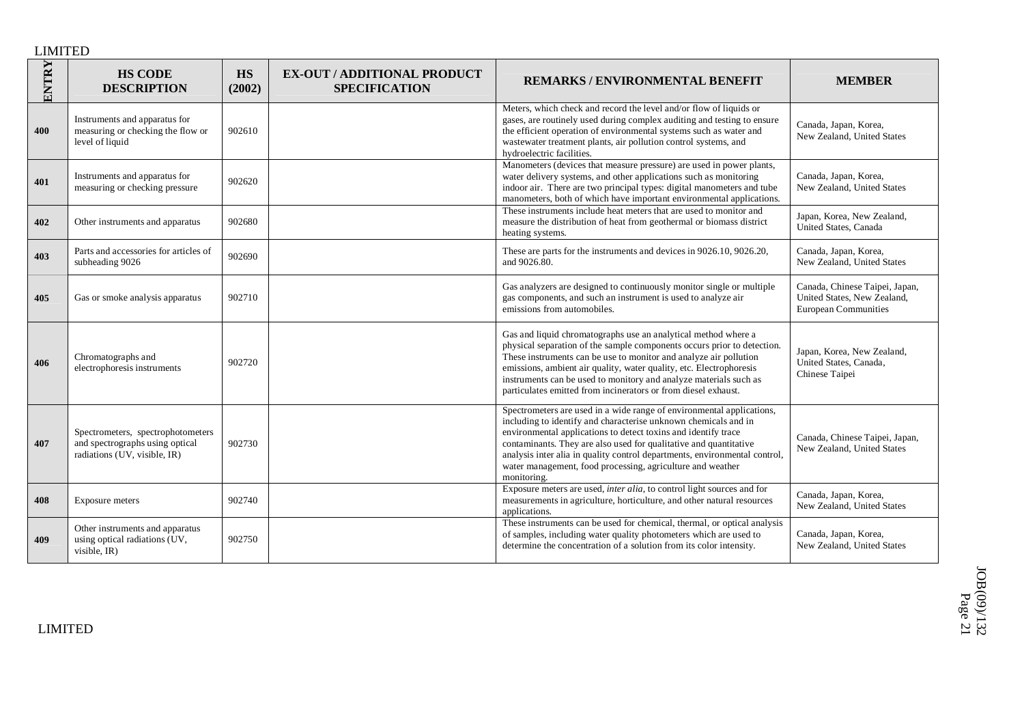| ENTRY | <b>HS CODE</b><br><b>DESCRIPTION</b>                                                                 | <b>HS</b><br>(2002) | <b>EX-OUT / ADDITIONAL PRODUCT</b><br><b>SPECIFICATION</b> | <b>REMARKS/ENVIRONMENTAL BENEFIT</b>                                                                                                                                                                                                                                                                                                                                                                                                       | <b>MEMBER</b>                                                                                |
|-------|------------------------------------------------------------------------------------------------------|---------------------|------------------------------------------------------------|--------------------------------------------------------------------------------------------------------------------------------------------------------------------------------------------------------------------------------------------------------------------------------------------------------------------------------------------------------------------------------------------------------------------------------------------|----------------------------------------------------------------------------------------------|
| 400   | Instruments and apparatus for<br>measuring or checking the flow or<br>level of liquid                | 902610              |                                                            | Meters, which check and record the level and/or flow of liquids or<br>gases, are routinely used during complex auditing and testing to ensure<br>the efficient operation of environmental systems such as water and<br>wastewater treatment plants, air pollution control systems, and<br>hydroelectric facilities.                                                                                                                        | Canada, Japan, Korea,<br>New Zealand, United States                                          |
| 401   | Instruments and apparatus for<br>measuring or checking pressure                                      | 902620              |                                                            | Manometers (devices that measure pressure) are used in power plants,<br>water delivery systems, and other applications such as monitoring<br>indoor air. There are two principal types: digital manometers and tube<br>manometers, both of which have important environmental applications.                                                                                                                                                | Canada, Japan, Korea,<br>New Zealand, United States                                          |
| 402   | Other instruments and apparatus                                                                      | 902680              |                                                            | These instruments include heat meters that are used to monitor and<br>measure the distribution of heat from geothermal or biomass district<br>heating systems.                                                                                                                                                                                                                                                                             | Japan, Korea, New Zealand,<br>United States, Canada                                          |
| 403   | Parts and accessories for articles of<br>subheading 9026                                             | 902690              |                                                            | These are parts for the instruments and devices in 9026.10, 9026.20,<br>and 9026.80.                                                                                                                                                                                                                                                                                                                                                       | Canada, Japan, Korea,<br>New Zealand, United States                                          |
| 405   | Gas or smoke analysis apparatus                                                                      | 902710              |                                                            | Gas analyzers are designed to continuously monitor single or multiple<br>gas components, and such an instrument is used to analyze air<br>emissions from automobiles.                                                                                                                                                                                                                                                                      | Canada, Chinese Taipei, Japan,<br>United States, New Zealand,<br><b>European Communities</b> |
| 406   | Chromatographs and<br>electrophoresis instruments                                                    | 902720              |                                                            | Gas and liquid chromatographs use an analytical method where a<br>physical separation of the sample components occurs prior to detection.<br>These instruments can be use to monitor and analyze air pollution<br>emissions, ambient air quality, water quality, etc. Electrophoresis<br>instruments can be used to monitory and analyze materials such as<br>particulates emitted from incinerators or from diesel exhaust.               | Japan, Korea, New Zealand,<br>United States, Canada,<br>Chinese Taipei                       |
| 407   | Spectrometers, spectrophotometers<br>and spectrographs using optical<br>radiations (UV, visible, IR) | 902730              |                                                            | Spectrometers are used in a wide range of environmental applications,<br>including to identify and characterise unknown chemicals and in<br>environmental applications to detect toxins and identify trace<br>contaminants. They are also used for qualitative and quantitative<br>analysis inter alia in quality control departments, environmental control,<br>water management, food processing, agriculture and weather<br>monitoring. | Canada, Chinese Taipei, Japan,<br>New Zealand, United States                                 |
| 408   | Exposure meters                                                                                      | 902740              |                                                            | Exposure meters are used, inter alia, to control light sources and for<br>measurements in agriculture, horticulture, and other natural resources<br>applications.                                                                                                                                                                                                                                                                          | Canada, Japan, Korea,<br>New Zealand, United States                                          |
| 409   | Other instruments and apparatus<br>using optical radiations (UV,<br>visible, IR)                     | 902750              |                                                            | These instruments can be used for chemical, thermal, or optical analysis<br>of samples, including water quality photometers which are used to<br>determine the concentration of a solution from its color intensity.                                                                                                                                                                                                                       | Canada, Japan, Korea,<br>New Zealand, United States                                          |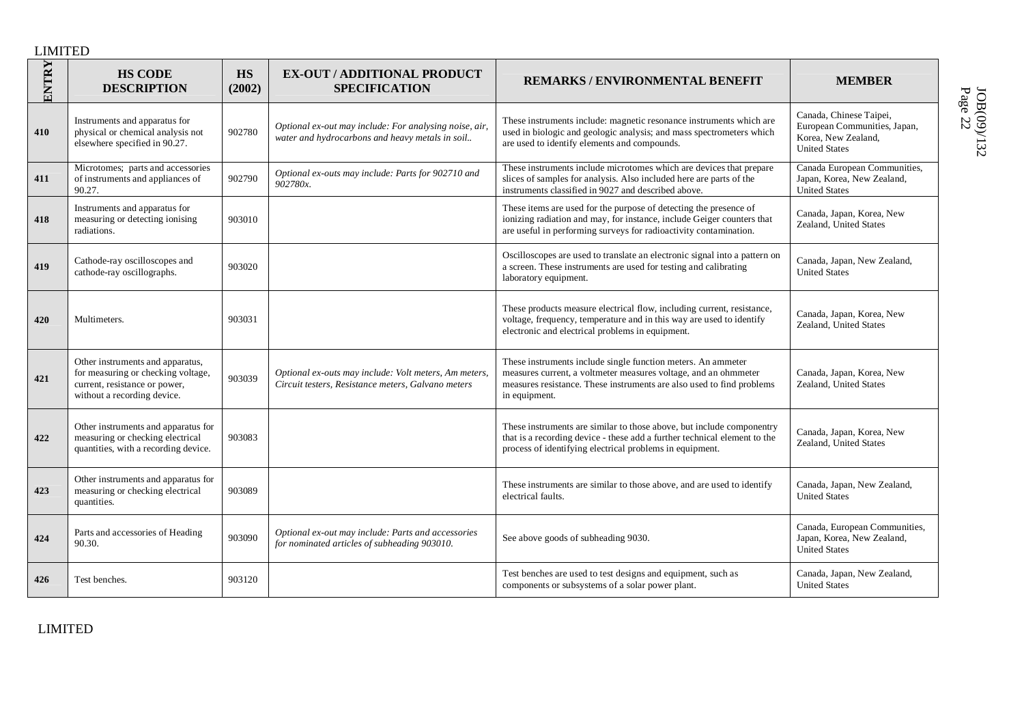| ENTRY | <b>HS CODE</b><br><b>DESCRIPTION</b>                                                                                                   | <b>HS</b><br>(2002) | <b>EX-OUT / ADDITIONAL PRODUCT</b><br><b>SPECIFICATION</b>                                                  | <b>REMARKS/ENVIRONMENTAL BENEFIT</b>                                                                                                                                                                                      | <b>MEMBER</b>                                                                                          |
|-------|----------------------------------------------------------------------------------------------------------------------------------------|---------------------|-------------------------------------------------------------------------------------------------------------|---------------------------------------------------------------------------------------------------------------------------------------------------------------------------------------------------------------------------|--------------------------------------------------------------------------------------------------------|
| 410   | Instruments and apparatus for<br>physical or chemical analysis not<br>elsewhere specified in 90.27.                                    | 902780              | Optional ex-out may include: For analysing noise, air,<br>water and hydrocarbons and heavy metals in soil   | These instruments include: magnetic resonance instruments which are<br>used in biologic and geologic analysis; and mass spectrometers which<br>are used to identify elements and compounds.                               | Canada, Chinese Taipei,<br>European Communities, Japan,<br>Korea, New Zealand,<br><b>United States</b> |
| 411   | Microtomes; parts and accessories<br>of instruments and appliances of<br>90.27.                                                        | 902790              | Optional ex-outs may include: Parts for 902710 and<br>902780x                                               | These instruments include microtomes which are devices that prepare<br>slices of samples for analysis. Also included here are parts of the<br>instruments classified in 9027 and described above.                         | Canada European Communities,<br>Japan, Korea, New Zealand,<br>United States                            |
| 418   | Instruments and apparatus for<br>measuring or detecting ionising<br>radiations.                                                        | 903010              |                                                                                                             | These items are used for the purpose of detecting the presence of<br>ionizing radiation and may, for instance, include Geiger counters that<br>are useful in performing surveys for radioactivity contamination.          | Canada, Japan, Korea, New<br>Zealand, United States                                                    |
| 419   | Cathode-ray oscilloscopes and<br>cathode-ray oscillographs.                                                                            | 903020              |                                                                                                             | Oscilloscopes are used to translate an electronic signal into a pattern on<br>a screen. These instruments are used for testing and calibrating<br>laboratory equipment.                                                   | Canada, Japan, New Zealand,<br><b>United States</b>                                                    |
| 420   | Multimeters.                                                                                                                           | 903031              |                                                                                                             | These products measure electrical flow, including current, resistance,<br>voltage, frequency, temperature and in this way are used to identify<br>electronic and electrical problems in equipment.                        | Canada, Japan, Korea, New<br>Zealand, United States                                                    |
| 421   | Other instruments and apparatus,<br>for measuring or checking voltage,<br>current, resistance or power,<br>without a recording device. | 903039              | Optional ex-outs may include: Volt meters, Am meters,<br>Circuit testers, Resistance meters, Galvano meters | These instruments include single function meters. An ammeter<br>measures current, a voltmeter measures voltage, and an ohmmeter<br>measures resistance. These instruments are also used to find problems<br>in equipment. | Canada, Japan, Korea, New<br>Zealand, United States                                                    |
| 422   | Other instruments and apparatus for<br>measuring or checking electrical<br>quantities, with a recording device.                        | 903083              |                                                                                                             | These instruments are similar to those above, but include componentry<br>that is a recording device - these add a further technical element to the<br>process of identifying electrical problems in equipment.            | Canada, Japan, Korea, New<br>Zealand, United States                                                    |
| 423   | Other instruments and apparatus for<br>measuring or checking electrical<br>quantities.                                                 | 903089              |                                                                                                             | These instruments are similar to those above, and are used to identify<br>electrical faults.                                                                                                                              | Canada, Japan, New Zealand,<br><b>United States</b>                                                    |
| 424   | Parts and accessories of Heading<br>90.30.                                                                                             | 903090              | Optional ex-out may include: Parts and accessories<br>for nominated articles of subheading 903010.          | See above goods of subheading 9030.                                                                                                                                                                                       | Canada, European Communities,<br>Japan, Korea, New Zealand,<br><b>United States</b>                    |
| 426   | Test benches.                                                                                                                          | 903120              |                                                                                                             | Test benches are used to test designs and equipment, such as<br>components or subsystems of a solar power plant.                                                                                                          | Canada, Japan, New Zealand,<br><b>United States</b>                                                    |